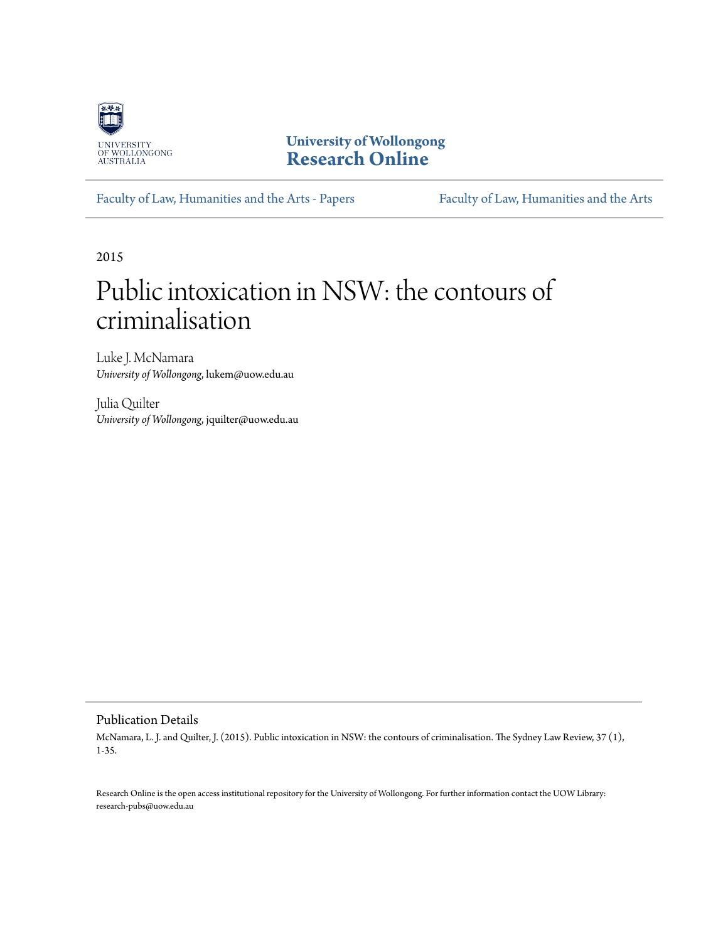

**University of Wollongong [Research Online](http://ro.uow.edu.au)**

[Faculty of Law, Humanities and the Arts - Papers](http://ro.uow.edu.au/lhapapers) [Faculty of Law, Humanities and the Arts](http://ro.uow.edu.au/lha)

2015

# Public intoxication in NSW: the contours of criminalisation

Luke J. McNamara *University of Wollongong*, lukem@uow.edu.au

Julia Quilter *University of Wollongong*, jquilter@uow.edu.au

#### Publication Details

McNamara, L. J. and Quilter, J. (2015). Public intoxication in NSW: the contours of criminalisation. The Sydney Law Review, 37 (1), 1-35.

Research Online is the open access institutional repository for the University of Wollongong. For further information contact the UOW Library: research-pubs@uow.edu.au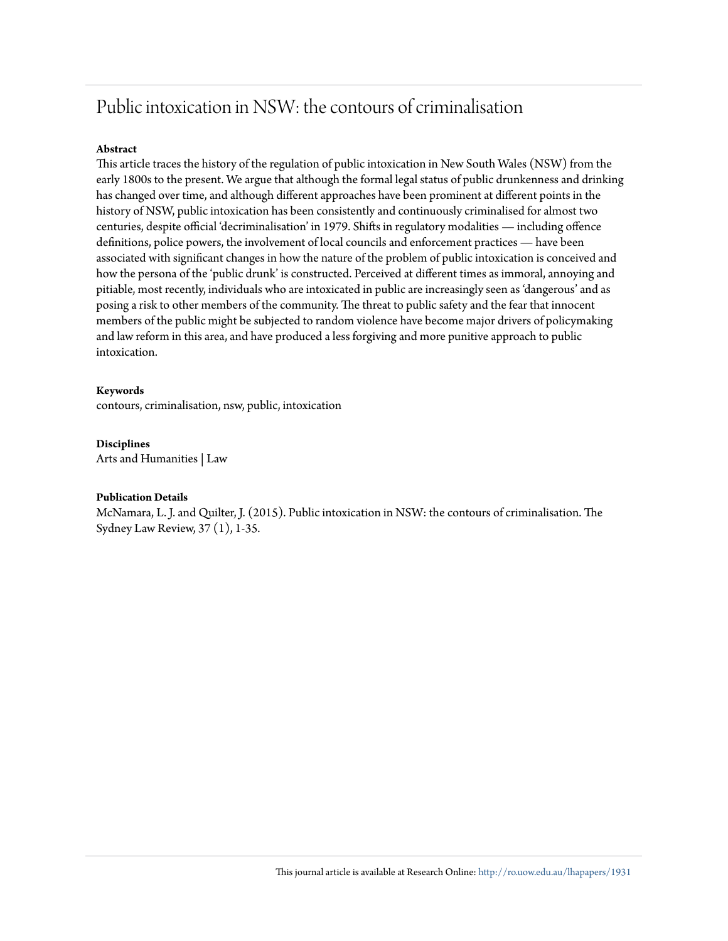# Public intoxication in NSW: the contours of criminalisation

#### **Abstract**

This article traces the history of the regulation of public intoxication in New South Wales (NSW) from the early 1800s to the present. We argue that although the formal legal status of public drunkenness and drinking has changed over time, and although different approaches have been prominent at different points in the history of NSW, public intoxication has been consistently and continuously criminalised for almost two centuries, despite official 'decriminalisation' in 1979. Shifts in regulatory modalities — including offence definitions, police powers, the involvement of local councils and enforcement practices — have been associated with significant changes in how the nature of the problem of public intoxication is conceived and how the persona of the 'public drunk' is constructed. Perceived at different times as immoral, annoying and pitiable, most recently, individuals who are intoxicated in public are increasingly seen as 'dangerous' and as posing a risk to other members of the community. The threat to public safety and the fear that innocent members of the public might be subjected to random violence have become major drivers of policymaking and law reform in this area, and have produced a less forgiving and more punitive approach to public intoxication.

#### **Keywords**

contours, criminalisation, nsw, public, intoxication

#### **Disciplines**

Arts and Humanities | Law

#### **Publication Details**

McNamara, L. J. and Quilter, J. (2015). Public intoxication in NSW: the contours of criminalisation. The Sydney Law Review, 37 (1), 1-35.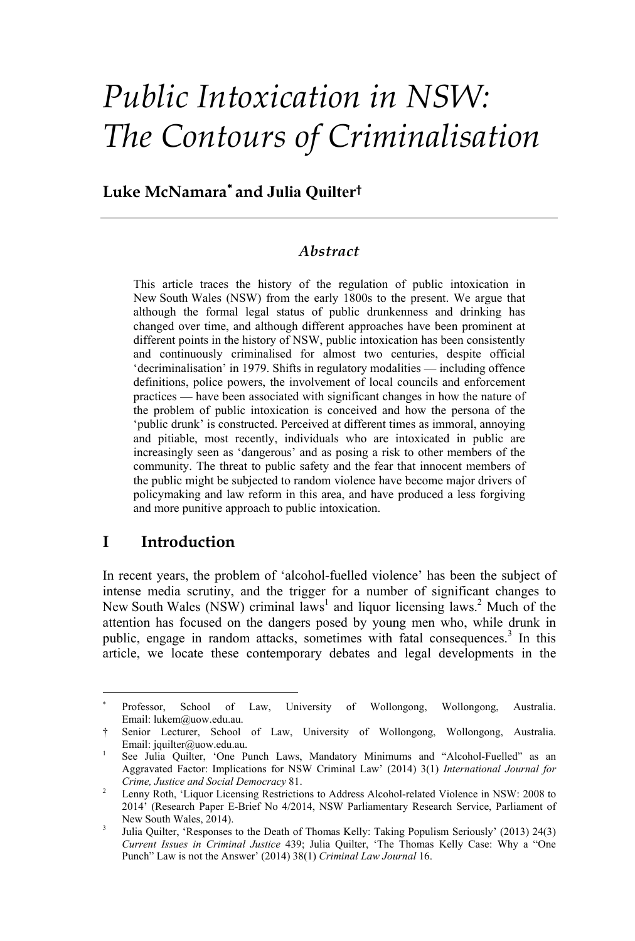# *Public Intoxication in NSW: The Contours of Criminalisation*

# **Luke McNamara and Julia Quilter†**

#### *Abstract*

This article traces the history of the regulation of public intoxication in New South Wales (NSW) from the early 1800s to the present. We argue that although the formal legal status of public drunkenness and drinking has changed over time, and although different approaches have been prominent at different points in the history of NSW, public intoxication has been consistently and continuously criminalised for almost two centuries, despite official 'decriminalisation' in 1979. Shifts in regulatory modalities — including offence definitions, police powers, the involvement of local councils and enforcement practices — have been associated with significant changes in how the nature of the problem of public intoxication is conceived and how the persona of the 'public drunk' is constructed. Perceived at different times as immoral, annoying and pitiable, most recently, individuals who are intoxicated in public are increasingly seen as 'dangerous' and as posing a risk to other members of the community. The threat to public safety and the fear that innocent members of the public might be subjected to random violence have become major drivers of policymaking and law reform in this area, and have produced a less forgiving and more punitive approach to public intoxication.

### **I Introduction**

 

In recent years, the problem of 'alcohol-fuelled violence' has been the subject of intense media scrutiny, and the trigger for a number of significant changes to New South Wales (NSW) criminal laws<sup>1</sup> and liquor licensing laws.<sup>2</sup> Much of the attention has focused on the dangers posed by young men who, while drunk in public, engage in random attacks, sometimes with fatal consequences.<sup>3</sup> In this article, we locate these contemporary debates and legal developments in the

Professor, School of Law, University of Wollongong, Wollongong, Australia. Email: lukem@uow.edu.au.

<sup>†</sup> Senior Lecturer, School of Law, University of Wollongong, Wollongong, Australia. Email: jquilter@uow.edu.au.

See Julia Quilter, 'One Punch Laws, Mandatory Minimums and "Alcohol-Fuelled" as an Aggravated Factor: Implications for NSW Criminal Law' (2014) 3(1) *International Journal for Crime, Justice and Social Democracy* 81. 2

Lenny Roth, 'Liquor Licensing Restrictions to Address Alcohol-related Violence in NSW: 2008 to 2014' (Research Paper E-Brief No 4/2014, NSW Parliamentary Research Service, Parliament of New South Wales, 2014).

Julia Quilter, 'Responses to the Death of Thomas Kelly: Taking Populism Seriously' (2013) 24(3) *Current Issues in Criminal Justice* 439; Julia Quilter, 'The Thomas Kelly Case: Why a "One Punch" Law is not the Answer' (2014) 38(1) *Criminal Law Journal* 16.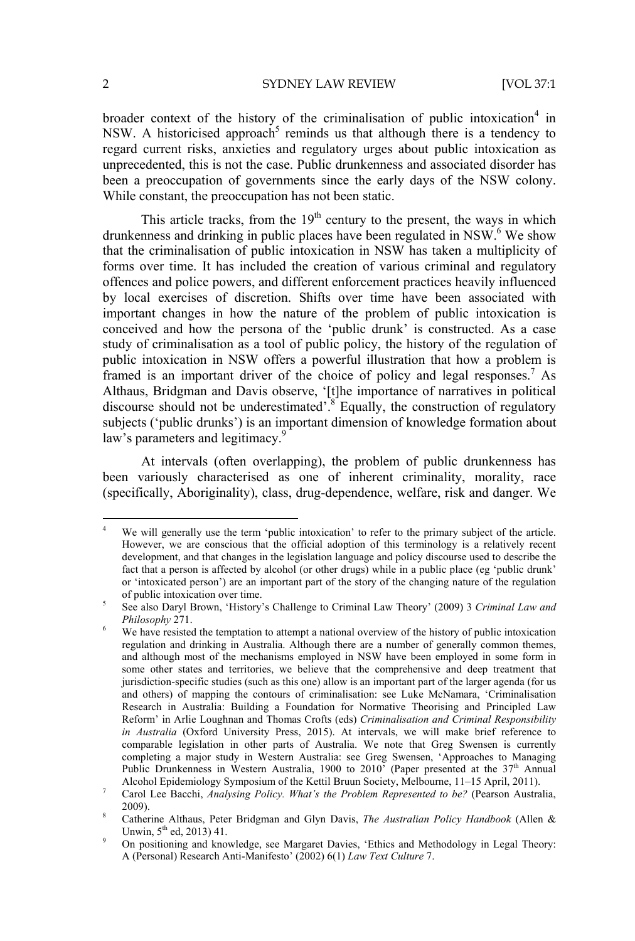2 SYDNEY LAW REVIEW [VOL 37:1

broader context of the history of the criminalisation of public intoxication<sup>4</sup> in NSW. A historicised approach<sup>5</sup> reminds us that although there is a tendency to regard current risks, anxieties and regulatory urges about public intoxication as unprecedented, this is not the case. Public drunkenness and associated disorder has been a preoccupation of governments since the early days of the NSW colony. While constant, the preoccupation has not been static.

This article tracks, from the  $19<sup>th</sup>$  century to the present, the ways in which drunkenness and drinking in public places have been regulated in NSW.<sup>6</sup> We show that the criminalisation of public intoxication in NSW has taken a multiplicity of forms over time. It has included the creation of various criminal and regulatory offences and police powers, and different enforcement practices heavily influenced by local exercises of discretion. Shifts over time have been associated with important changes in how the nature of the problem of public intoxication is conceived and how the persona of the 'public drunk' is constructed. As a case study of criminalisation as a tool of public policy, the history of the regulation of public intoxication in NSW offers a powerful illustration that how a problem is framed is an important driver of the choice of policy and legal responses.<sup>7</sup> As Althaus, Bridgman and Davis observe, '[t]he importance of narratives in political discourse should not be underestimated<sup>5</sup>.<sup>8</sup> Equally, the construction of regulatory subjects ('public drunks') is an important dimension of knowledge formation about law's parameters and legitimacy.<sup>9</sup>

At intervals (often overlapping), the problem of public drunkenness has been variously characterised as one of inherent criminality, morality, race (specifically, Aboriginality), class, drug-dependence, welfare, risk and danger. We

<sup>4</sup> We will generally use the term 'public intoxication' to refer to the primary subject of the article. However, we are conscious that the official adoption of this terminology is a relatively recent development, and that changes in the legislation language and policy discourse used to describe the fact that a person is affected by alcohol (or other drugs) while in a public place (eg 'public drunk' or 'intoxicated person') are an important part of the story of the changing nature of the regulation of public intoxication over time. 5

See also Daryl Brown, 'History's Challenge to Criminal Law Theory' (2009) 3 *Criminal Law and*  Philosophy<sup>271</sup>.

We have resisted the temptation to attempt a national overview of the history of public intoxication regulation and drinking in Australia. Although there are a number of generally common themes, and although most of the mechanisms employed in NSW have been employed in some form in some other states and territories, we believe that the comprehensive and deep treatment that jurisdiction-specific studies (such as this one) allow is an important part of the larger agenda (for us and others) of mapping the contours of criminalisation: see Luke McNamara, 'Criminalisation Research in Australia: Building a Foundation for Normative Theorising and Principled Law Reform' in Arlie Loughnan and Thomas Crofts (eds) *Criminalisation and Criminal Responsibility in Australia* (Oxford University Press, 2015). At intervals, we will make brief reference to comparable legislation in other parts of Australia. We note that Greg Swensen is currently completing a major study in Western Australia: see Greg Swensen, 'Approaches to Managing Public Drunkenness in Western Australia, 1900 to 2010<sup>7</sup> (Paper presented at the 37<sup>th</sup> Annual Alcohol Epidemiology Symposium of the Kettil Bruun Society, Melbourne, 11–15 April, 2011). 7

Carol Lee Bacchi, *Analysing Policy. What's the Problem Represented to be?* (Pearson Australia,  $2009$ ).

Catherine Althaus, Peter Bridgman and Glyn Davis, *The Australian Policy Handbook* (Allen & Unwin,  $5^{th}$  ed, 2013) 41.

On positioning and knowledge, see Margaret Davies, 'Ethics and Methodology in Legal Theory: A (Personal) Research Anti-Manifesto' (2002) 6(1) *Law Text Culture* 7.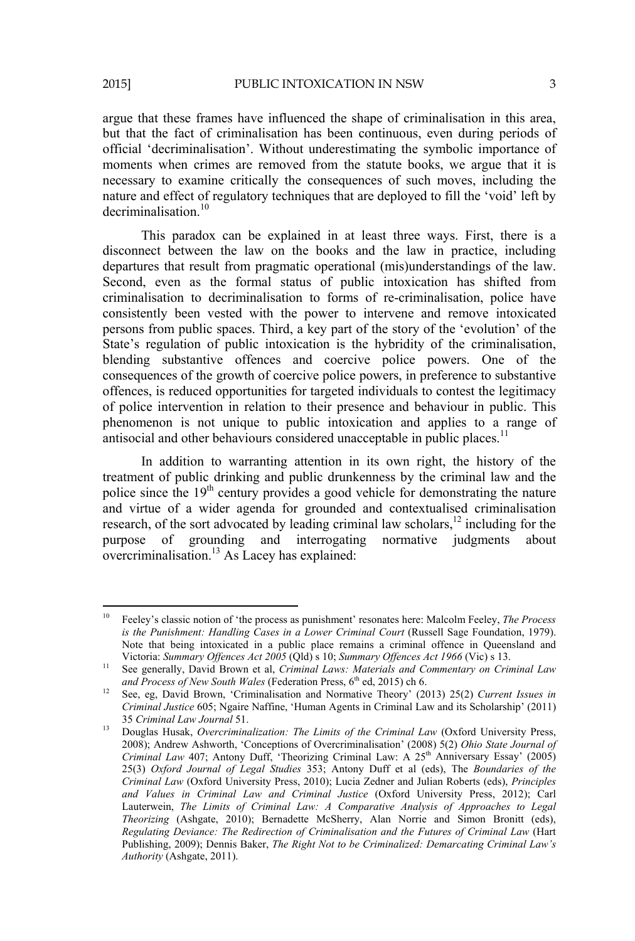argue that these frames have influenced the shape of criminalisation in this area, but that the fact of criminalisation has been continuous, even during periods of official 'decriminalisation'. Without underestimating the symbolic importance of moments when crimes are removed from the statute books, we argue that it is necessary to examine critically the consequences of such moves, including the nature and effect of regulatory techniques that are deployed to fill the 'void' left by  $decription<sup>10</sup>$ 

This paradox can be explained in at least three ways. First, there is a disconnect between the law on the books and the law in practice, including departures that result from pragmatic operational (mis)understandings of the law. Second, even as the formal status of public intoxication has shifted from criminalisation to decriminalisation to forms of re-criminalisation, police have consistently been vested with the power to intervene and remove intoxicated persons from public spaces. Third, a key part of the story of the 'evolution' of the State's regulation of public intoxication is the hybridity of the criminalisation, blending substantive offences and coercive police powers. One of the consequences of the growth of coercive police powers, in preference to substantive offences, is reduced opportunities for targeted individuals to contest the legitimacy of police intervention in relation to their presence and behaviour in public. This phenomenon is not unique to public intoxication and applies to a range of antisocial and other behaviours considered unacceptable in public places.<sup>11</sup>

In addition to warranting attention in its own right, the history of the treatment of public drinking and public drunkenness by the criminal law and the police since the 19<sup>th</sup> century provides a good vehicle for demonstrating the nature and virtue of a wider agenda for grounded and contextualised criminalisation research, of the sort advocated by leading criminal law scholars,<sup>12</sup> including for the purpose of grounding and interrogating normative judgments about overcriminalisation.<sup>13</sup> As Lacey has explained:

<sup>10</sup> Feeley's classic notion of 'the process as punishment' resonates here: Malcolm Feeley, *The Process is the Punishment: Handling Cases in a Lower Criminal Court* (Russell Sage Foundation, 1979). Note that being intoxicated in a public place remains a criminal offence in Queensland and

Victoria: *Summary Offences Act 2005* (Qld) s 10; *Summary Offences Act 1966* (Vic) s 13.<br><sup>11</sup> See generally, David Brown et al, *Criminal Laws: Materials and Commentary on Criminal Law and Process of New South Wales (Fede* 

<sup>&</sup>lt;sup>12</sup> See, eg, David Brown, 'Criminalisation and Normative Theory' (2013) 25(2) *Current Issues in Criminal Justice* 605; Ngaire Naffine, 'Human Agents in Criminal Law and its Scholarship' (2011) 35 *Criminal Law Journal* 51.

<sup>35</sup>*Criminal Law Journal* 51. 13 Douglas Husak, *Overcriminalization: The Limits of the Criminal Law* (Oxford University Press, 2008); Andrew Ashworth, 'Conceptions of Overcriminalisation' (2008) 5(2) *Ohio State Journal of Criminal Law* 407; Antony Duff, 'Theorizing Criminal Law: A 25th Anniversary Essay' (2005) 25(3) *Oxford Journal of Legal Studies* 353; Antony Duff et al (eds), The *Boundaries of the Criminal Law* (Oxford University Press, 2010); Lucia Zedner and Julian Roberts (eds), *Principles and Values in Criminal Law and Criminal Justice* (Oxford University Press, 2012); Carl Lauterwein, *The Limits of Criminal Law: A Comparative Analysis of Approaches to Legal Theorizing* (Ashgate, 2010); Bernadette McSherry, Alan Norrie and Simon Bronitt (eds), *Regulating Deviance: The Redirection of Criminalisation and the Futures of Criminal Law* (Hart Publishing, 2009); Dennis Baker, *The Right Not to be Criminalized: Demarcating Criminal Law's Authority* (Ashgate, 2011).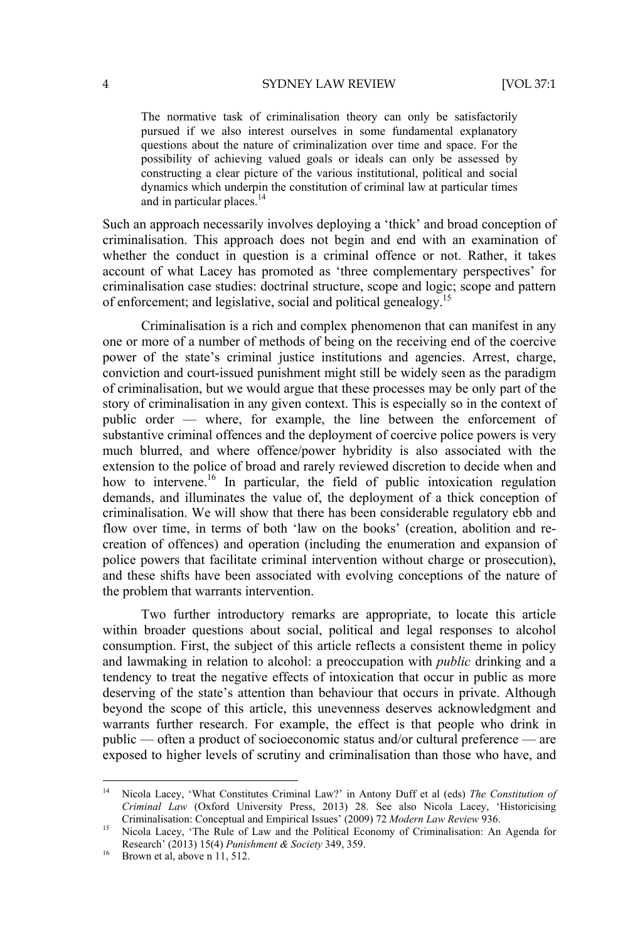The normative task of criminalisation theory can only be satisfactorily pursued if we also interest ourselves in some fundamental explanatory questions about the nature of criminalization over time and space. For the possibility of achieving valued goals or ideals can only be assessed by constructing a clear picture of the various institutional, political and social dynamics which underpin the constitution of criminal law at particular times and in particular places.<sup>14</sup>

Such an approach necessarily involves deploying a 'thick' and broad conception of criminalisation. This approach does not begin and end with an examination of whether the conduct in question is a criminal offence or not. Rather, it takes account of what Lacey has promoted as 'three complementary perspectives' for criminalisation case studies: doctrinal structure, scope and logic; scope and pattern of enforcement; and legislative, social and political genealogy.15

Criminalisation is a rich and complex phenomenon that can manifest in any one or more of a number of methods of being on the receiving end of the coercive power of the state's criminal justice institutions and agencies. Arrest, charge, conviction and court-issued punishment might still be widely seen as the paradigm of criminalisation, but we would argue that these processes may be only part of the story of criminalisation in any given context. This is especially so in the context of public order — where, for example, the line between the enforcement of substantive criminal offences and the deployment of coercive police powers is very much blurred, and where offence/power hybridity is also associated with the extension to the police of broad and rarely reviewed discretion to decide when and how to intervene.<sup>16</sup> In particular, the field of public intoxication regulation demands, and illuminates the value of, the deployment of a thick conception of criminalisation. We will show that there has been considerable regulatory ebb and flow over time, in terms of both 'law on the books' (creation, abolition and recreation of offences) and operation (including the enumeration and expansion of police powers that facilitate criminal intervention without charge or prosecution), and these shifts have been associated with evolving conceptions of the nature of the problem that warrants intervention.

Two further introductory remarks are appropriate, to locate this article within broader questions about social, political and legal responses to alcohol consumption. First, the subject of this article reflects a consistent theme in policy and lawmaking in relation to alcohol: a preoccupation with *public* drinking and a tendency to treat the negative effects of intoxication that occur in public as more deserving of the state's attention than behaviour that occurs in private. Although beyond the scope of this article, this unevenness deserves acknowledgment and warrants further research. For example, the effect is that people who drink in public — often a product of socioeconomic status and/or cultural preference — are exposed to higher levels of scrutiny and criminalisation than those who have, and

<sup>&</sup>lt;sup>14</sup> Nicola Lacey, 'What Constitutes Criminal Law?' in Antony Duff et al (eds) *The Constitution of Criminal Law* (Oxford University Press, 2013) 28. See also Nicola Lacey, 'Historicising

<sup>&</sup>lt;sup>15</sup> Nicola Lacey, 'The Rule of Law and the Political Economy of Criminalisation: An Agenda for Research' (2013) 15(4) *Punishment & Society* 349, 359. 16 Brown et al, above n 11, 512.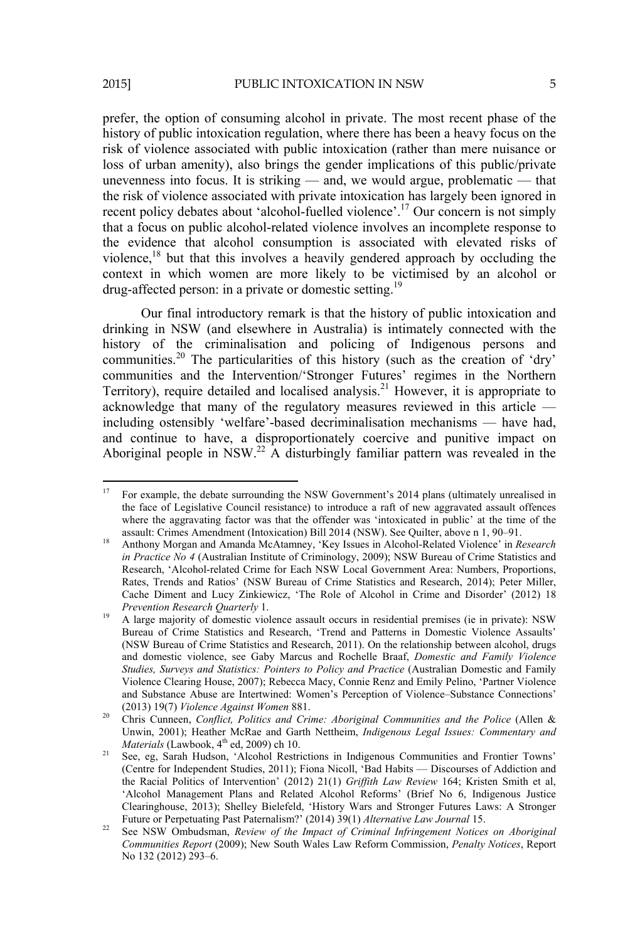prefer, the option of consuming alcohol in private. The most recent phase of the history of public intoxication regulation, where there has been a heavy focus on the risk of violence associated with public intoxication (rather than mere nuisance or loss of urban amenity), also brings the gender implications of this public/private unevenness into focus. It is striking — and, we would argue, problematic — that the risk of violence associated with private intoxication has largely been ignored in recent policy debates about 'alcohol-fuelled violence'.17 Our concern is not simply that a focus on public alcohol-related violence involves an incomplete response to the evidence that alcohol consumption is associated with elevated risks of violence,18 but that this involves a heavily gendered approach by occluding the context in which women are more likely to be victimised by an alcohol or drug-affected person: in a private or domestic setting.19

Our final introductory remark is that the history of public intoxication and drinking in NSW (and elsewhere in Australia) is intimately connected with the history of the criminalisation and policing of Indigenous persons and communities.20 The particularities of this history (such as the creation of 'dry' communities and the Intervention/'Stronger Futures' regimes in the Northern Territory), require detailed and localised analysis.<sup>21</sup> However, it is appropriate to acknowledge that many of the regulatory measures reviewed in this article including ostensibly 'welfare'-based decriminalisation mechanisms — have had, and continue to have, a disproportionately coercive and punitive impact on Aboriginal people in  $\text{NSW}^{22}$  A disturbingly familiar pattern was revealed in the

<sup>&</sup>lt;sup>17</sup> For example, the debate surrounding the NSW Government's 2014 plans (ultimately unrealised in the face of Legislative Council resistance) to introduce a raft of new aggravated assault offences where the aggravating factor was that the offender was 'intoxicated in public' at the time of the assault: Crimes Amendment (Intoxication) Bill 2014 (NSW). See Quilter, above n 1, 90–91. 18 Anthony Morgan and Amanda McAtamney, 'Key Issues in Alcohol-Related Violence' in *Research* 

*in Practice No 4* (Australian Institute of Criminology, 2009); NSW Bureau of Crime Statistics and Research, 'Alcohol-related Crime for Each NSW Local Government Area: Numbers, Proportions, Rates, Trends and Ratios' (NSW Bureau of Crime Statistics and Research, 2014); Peter Miller, Cache Diment and Lucy Zinkiewicz, 'The Role of Alcohol in Crime and Disorder' (2012) 18 *Prevention Research Quarterly 1.* 19 A large majority of domestic violence assault occurs in residential premises (ie in private): NSW

Bureau of Crime Statistics and Research, 'Trend and Patterns in Domestic Violence Assaults' (NSW Bureau of Crime Statistics and Research, 2011). On the relationship between alcohol, drugs and domestic violence, see Gaby Marcus and Rochelle Braaf, *Domestic and Family Violence Studies, Surveys and Statistics: Pointers to Policy and Practice* (Australian Domestic and Family Violence Clearing House, 2007); Rebecca Macy, Connie Renz and Emily Pelino, 'Partner Violence and Substance Abuse are Intertwined: Women's Perception of Violence–Substance Connections'

<sup>(2013) 19(7)</sup> *Violence Against Women* 881. 20 Chris Cunneen, *Conflict, Politics and Crime: Aboriginal Communities and the Police* (Allen & Unwin, 2001); Heather McRae and Garth Nettheim, *Indigenous Legal Issues: Commentary and Materials* (Lawbook, 4<sup>th</sup> ed, 2009) ch 10.<br><sup>21</sup> See, eg, Sarah Hudson, 'Alcohol Restrictions in Indigenous Communities and Frontier Towns'

<sup>(</sup>Centre for Independent Studies, 2011); Fiona Nicoll, 'Bad Habits — Discourses of Addiction and the Racial Politics of Intervention' (2012) 21(1) *Griffith Law Review* 164; Kristen Smith et al, 'Alcohol Management Plans and Related Alcohol Reforms' (Brief No 6, Indigenous Justice Clearinghouse, 2013); Shelley Bielefeld, 'History Wars and Stronger Futures Laws: A Stronger Future or Perpetuating Past Paternalism?' (2014) 39(1) Alternative Law Journal 15.

Future or Perpetuating Past Paternalism.<br><sup>22</sup> See NSW Ombudsman, *Review of the Impact of Criminal Infringement Notices on Aboriginal Communities Report* (2009); New South Wales Law Reform Commission, *Penalty Notices*, Report No 132 (2012) 293–6.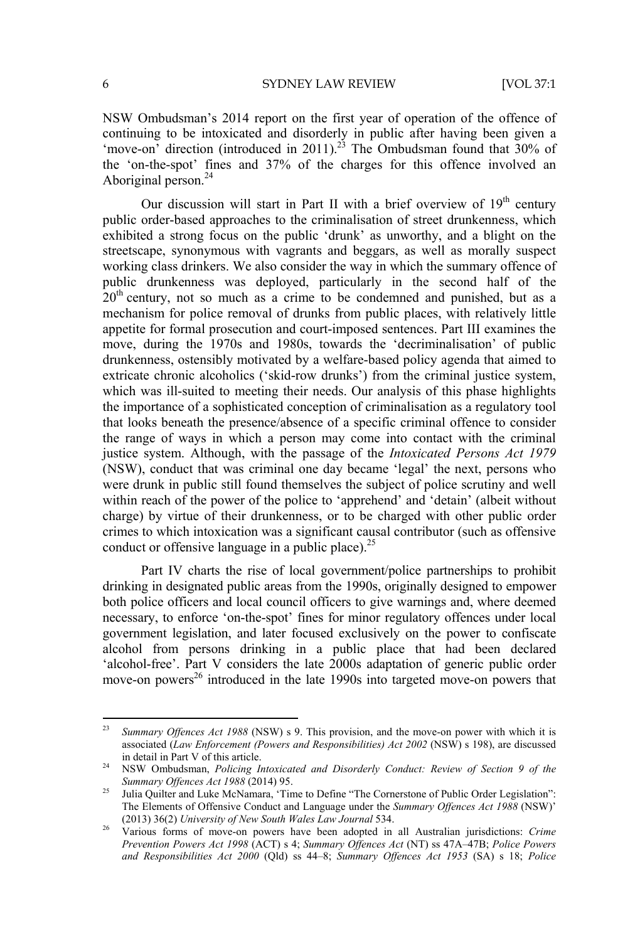NSW Ombudsman's 2014 report on the first year of operation of the offence of continuing to be intoxicated and disorderly in public after having been given a 'move-on' direction (introduced in 2011).<sup>23</sup> The Ombudsman found that 30% of the 'on-the-spot' fines and 37% of the charges for this offence involved an Aboriginal person.<sup>24</sup>

Our discussion will start in Part II with a brief overview of  $19<sup>th</sup>$  century public order-based approaches to the criminalisation of street drunkenness, which exhibited a strong focus on the public 'drunk' as unworthy, and a blight on the streetscape, synonymous with vagrants and beggars, as well as morally suspect working class drinkers. We also consider the way in which the summary offence of public drunkenness was deployed, particularly in the second half of the  $20<sup>th</sup>$  century, not so much as a crime to be condemned and punished, but as a mechanism for police removal of drunks from public places, with relatively little appetite for formal prosecution and court-imposed sentences. Part III examines the move, during the 1970s and 1980s, towards the 'decriminalisation' of public drunkenness, ostensibly motivated by a welfare-based policy agenda that aimed to extricate chronic alcoholics ('skid-row drunks') from the criminal justice system, which was ill-suited to meeting their needs. Our analysis of this phase highlights the importance of a sophisticated conception of criminalisation as a regulatory tool that looks beneath the presence/absence of a specific criminal offence to consider the range of ways in which a person may come into contact with the criminal justice system. Although, with the passage of the *Intoxicated Persons Act 1979*  (NSW), conduct that was criminal one day became 'legal' the next, persons who were drunk in public still found themselves the subject of police scrutiny and well within reach of the power of the police to 'apprehend' and 'detain' (albeit without charge) by virtue of their drunkenness, or to be charged with other public order crimes to which intoxication was a significant causal contributor (such as offensive conduct or offensive language in a public place). $^{25}$ 

Part IV charts the rise of local government/police partnerships to prohibit drinking in designated public areas from the 1990s, originally designed to empower both police officers and local council officers to give warnings and, where deemed necessary, to enforce 'on-the-spot' fines for minor regulatory offences under local government legislation, and later focused exclusively on the power to confiscate alcohol from persons drinking in a public place that had been declared 'alcohol-free'. Part V considers the late 2000s adaptation of generic public order move-on powers<sup>26</sup> introduced in the late 1990s into targeted move-on powers that

<sup>23</sup> *Summary Offences Act 1988* (NSW) s 9. This provision, and the move-on power with which it is associated (*Law Enforcement (Powers and Responsibilities) Act 2002* (NSW) s 198), are discussed

in detail in Part V of this article.<br><sup>24</sup> NSW Ombudsman, *Policing Intoxicated and Disorderly Conduct: Review of Section 9 of the <br><i>Summary Offences Act 1988* (2014) 95.

<sup>&</sup>lt;sup>25</sup> Julia Quilter and Luke McNamara, 'Time to Define "The Cornerstone of Public Order Legislation": The Elements of Offensive Conduct and Language under the *Summary Offences Act 1988* (NSW)'

<sup>(2013) 36(2)</sup> *University of New South Wales Law Journal* 534. 26 Various forms of move-on powers have been adopted in all Australian jurisdictions: *Crime Prevention Powers Act 1998* (ACT) s 4; *Summary Offences Act* (NT) ss 47A–47B; *Police Powers and Responsibilities Act 2000* (Qld) ss 44–8; *Summary Offences Act 1953* (SA) s 18; *Police*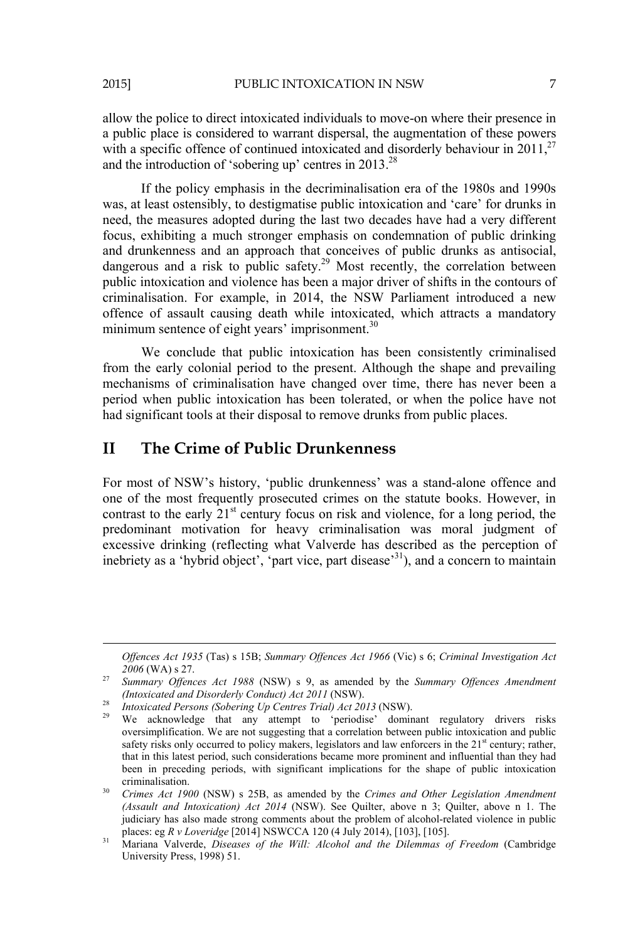allow the police to direct intoxicated individuals to move-on where their presence in a public place is considered to warrant dispersal, the augmentation of these powers with a specific offence of continued intoxicated and disorderly behaviour in  $2011$ ,<sup>27</sup> and the introduction of 'sobering up' centres in  $2013<sup>28</sup>$ 

If the policy emphasis in the decriminalisation era of the 1980s and 1990s was, at least ostensibly, to destigmatise public intoxication and 'care' for drunks in need, the measures adopted during the last two decades have had a very different focus, exhibiting a much stronger emphasis on condemnation of public drinking and drunkenness and an approach that conceives of public drunks as antisocial, dangerous and a risk to public safety.<sup>29</sup> Most recently, the correlation between public intoxication and violence has been a major driver of shifts in the contours of criminalisation. For example, in 2014, the NSW Parliament introduced a new offence of assault causing death while intoxicated, which attracts a mandatory minimum sentence of eight years' imprisonment.<sup>30</sup>

We conclude that public intoxication has been consistently criminalised from the early colonial period to the present. Although the shape and prevailing mechanisms of criminalisation have changed over time, there has never been a period when public intoxication has been tolerated, or when the police have not had significant tools at their disposal to remove drunks from public places.

### **II The Crime of Public Drunkenness**

For most of NSW's history, 'public drunkenness' was a stand-alone offence and one of the most frequently prosecuted crimes on the statute books. However, in contrast to the early  $21^{st}$  century focus on risk and violence, for a long period, the predominant motivation for heavy criminalisation was moral judgment of excessive drinking (reflecting what Valverde has described as the perception of inebriety as a 'hybrid object', 'part vice, part disease'<sup>31</sup>), and a concern to maintain

 *Offences Act 1935* (Tas) s 15B; *Summary Offences Act 1966* (Vic) s 6; *Criminal Investigation Act* 

*<sup>2006</sup>* (WA) s 27. 27 *Summary Offences Act 1988* (NSW) s 9, as amended by the *Summary Offences Amendment (Intoxicated and Disorderly Conduct) Act 2011* (NSW). 28 *Intoxicated Persons (Sobering Up Centres Trial) Act 2013* (NSW). 29 We acknowledge that any attempt to 'periodise' dominant regulatory drivers risks

oversimplification. We are not suggesting that a correlation between public intoxication and public safety risks only occurred to policy makers, legislators and law enforcers in the  $21<sup>st</sup>$  century; rather, that in this latest period, such considerations became more prominent and influential than they had been in preceding periods, with significant implications for the shape of public intoxication

criminalisation. 30 *Crimes Act 1900* (NSW) s 25B, as amended by the *Crimes and Other Legislation Amendment (Assault and Intoxication) Act 2014* (NSW). See Quilter, above n 3; Quilter, above n 1. The judiciary has also made strong comments about the problem of alcohol-related violence in public places: eg  $R v$  *Loveridge* [2014] NSWCCA 120 (4 July 2014), [103], [105].

places: eg *R v Loveridge* [2014] NSWCCA 120 (4 July 2014), [103], [105]. 31 Mariana Valverde, *Diseases of the Will: Alcohol and the Dilemmas of Freedom* (Cambridge University Press, 1998) 51.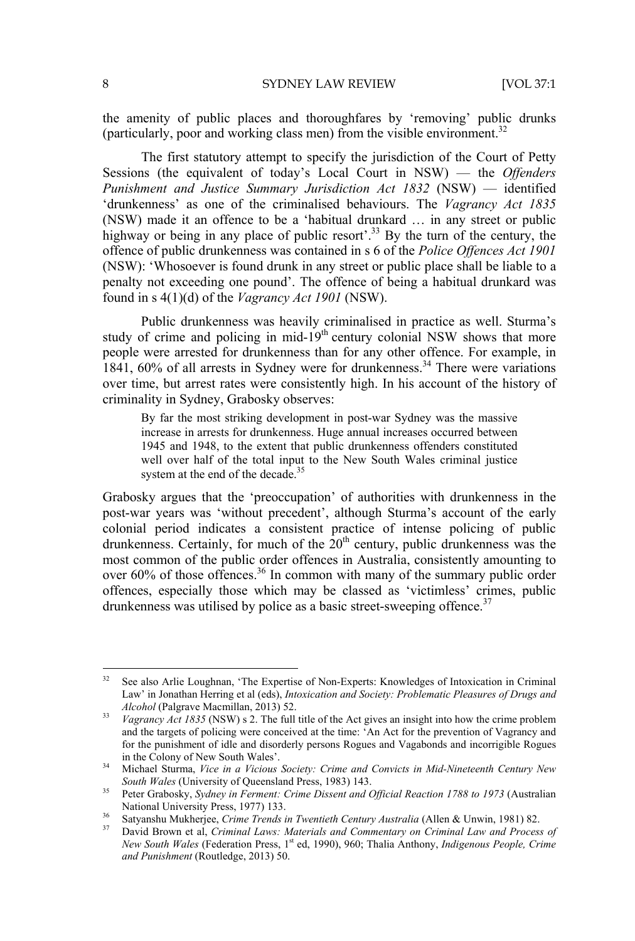the amenity of public places and thoroughfares by 'removing' public drunks (particularly, poor and working class men) from the visible environment.<sup>32</sup>

The first statutory attempt to specify the jurisdiction of the Court of Petty Sessions (the equivalent of today's Local Court in NSW) — the *Offenders Punishment and Justice Summary Jurisdiction Act 1832* (NSW) — identified 'drunkenness' as one of the criminalised behaviours. The *Vagrancy Act 1835* (NSW) made it an offence to be a 'habitual drunkard … in any street or public highway or being in any place of public resort'.<sup>33</sup> By the turn of the century, the offence of public drunkenness was contained in s 6 of the *Police Offences Act 1901* (NSW): 'Whosoever is found drunk in any street or public place shall be liable to a penalty not exceeding one pound'. The offence of being a habitual drunkard was found in s 4(1)(d) of the *Vagrancy Act 1901* (NSW).

Public drunkenness was heavily criminalised in practice as well. Sturma's study of crime and policing in mid-19<sup>th</sup> century colonial NSW shows that more people were arrested for drunkenness than for any other offence. For example, in 1841, 60% of all arrests in Sydney were for drunkenness.<sup>34</sup> There were variations over time, but arrest rates were consistently high. In his account of the history of criminality in Sydney, Grabosky observes:

By far the most striking development in post-war Sydney was the massive increase in arrests for drunkenness. Huge annual increases occurred between 1945 and 1948, to the extent that public drunkenness offenders constituted well over half of the total input to the New South Wales criminal justice system at the end of the decade.<sup>35</sup>

Grabosky argues that the 'preoccupation' of authorities with drunkenness in the post-war years was 'without precedent', although Sturma's account of the early colonial period indicates a consistent practice of intense policing of public drunkenness. Certainly, for much of the  $20<sup>th</sup>$  century, public drunkenness was the most common of the public order offences in Australia, consistently amounting to over 60% of those offences.<sup>36</sup> In common with many of the summary public order offences, especially those which may be classed as 'victimless' crimes, public drunkenness was utilised by police as a basic street-sweeping offence. $37$ 

<sup>&</sup>lt;sup>32</sup> See also Arlie Loughnan, 'The Expertise of Non-Experts: Knowledges of Intoxication in Criminal Law' in Jonathan Herring et al (eds), *Intoxication and Society: Problematic Pleasures of Drugs and Alcohol* (Palgrave Macmillan, 2013) 52. 33 *Vagrancy Act 1835* (NSW) s 2. The full title of the Act gives an insight into how the crime problem

and the targets of policing were conceived at the time: 'An Act for the prevention of Vagrancy and for the punishment of idle and disorderly persons Rogues and Vagabonds and incorrigible Rogues

in the Colony of New South Wales'. 34 Michael Sturma, *Vice in a Vicious Society: Crime and Convicts in Mid-Nineteenth Century New* 

<sup>&</sup>lt;sup>35</sup> Peter Grabosky, *Sydney in Ferment: Crime Dissent and Official Reaction 1788 to 1973* (Australian National University Press, 1977) 133.

<sup>&</sup>lt;sup>36</sup> Satyanshu Mukherjee, *Crime Trends in Twentieth Century Australia* (Allen & Unwin, 1981) 82.<br><sup>37</sup> David Brown et al, *Criminal Laws: Materials and Commentary on Criminal Law and Process of* 

*New South Wales* (Federation Press, 1<sup>st</sup> ed, 1990), 960; Thalia Anthony, *Indigenous People, Crime and Punishment* (Routledge, 2013) 50.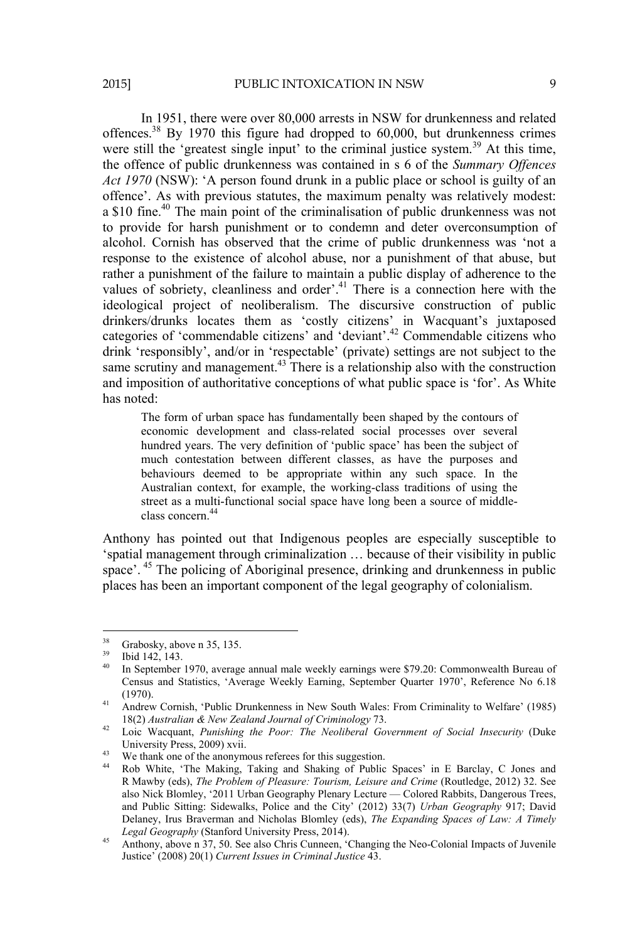In 1951, there were over 80,000 arrests in NSW for drunkenness and related offences.<sup>38</sup> By 1970 this figure had dropped to  $60,000$ , but drunkenness crimes were still the 'greatest single input' to the criminal justice system.<sup>39</sup> At this time, the offence of public drunkenness was contained in s 6 of the *Summary Offences Act 1970* (NSW): 'A person found drunk in a public place or school is guilty of an offence'. As with previous statutes, the maximum penalty was relatively modest: a \$10 fine.40 The main point of the criminalisation of public drunkenness was not to provide for harsh punishment or to condemn and deter overconsumption of alcohol. Cornish has observed that the crime of public drunkenness was 'not a response to the existence of alcohol abuse, nor a punishment of that abuse, but rather a punishment of the failure to maintain a public display of adherence to the values of sobriety, cleanliness and order'.<sup>41</sup> There is a connection here with the ideological project of neoliberalism. The discursive construction of public drinkers/drunks locates them as 'costly citizens' in Wacquant's juxtaposed categories of 'commendable citizens' and 'deviant'.42 Commendable citizens who drink 'responsibly', and/or in 'respectable' (private) settings are not subject to the same scrutiny and management.<sup>43</sup> There is a relationship also with the construction and imposition of authoritative conceptions of what public space is 'for'. As White has noted:

The form of urban space has fundamentally been shaped by the contours of economic development and class-related social processes over several hundred years. The very definition of 'public space' has been the subject of much contestation between different classes, as have the purposes and behaviours deemed to be appropriate within any such space. In the Australian context, for example, the working-class traditions of using the street as a multi-functional social space have long been a source of middleclass concern.<sup>44</sup>

Anthony has pointed out that Indigenous peoples are especially susceptible to 'spatial management through criminalization … because of their visibility in public space'. 45 The policing of Aboriginal presence, drinking and drunkenness in public places has been an important component of the legal geography of colonialism.

 $^{38}$  Grabosky, above n 35, 135.

 $\frac{39}{40}$  Ibid 142, 143.

<sup>40</sup> In September 1970, average annual male weekly earnings were \$79.20: Commonwealth Bureau of Census and Statistics, 'Average Weekly Earning, September Quarter 1970', Reference No 6.18

<sup>(1970).&</sup>lt;br>
41 Andrew Cornish, 'Public Drunkenness in New South Wales: From Criminality to Welfare' (1985)<br>
18(2) Australian & New Zealand Journal of Criminology 73.

<sup>18(2)</sup> *Australian & New Zealand Journal of Criminology* 73. 42 Loic Wacquant, *Punishing the Poor: The Neoliberal Government of Social Insecurity* (Duke University Press, 2009) xvii.<br><sup>43</sup> We thank one of the anonymous referees for this suggestion.

<sup>44</sup> Rob White, 'The Making, Taking and Shaking of Public Spaces' in E Barclay, C Jones and R Mawby (eds), *The Problem of Pleasure: Tourism, Leisure and Crime* (Routledge, 2012) 32. See also Nick Blomley, '2011 Urban Geography Plenary Lecture — Colored Rabbits, Dangerous Trees, and Public Sitting: Sidewalks, Police and the City' (2012) 33(7) *Urban Geography* 917; David Delaney, Irus Braverman and Nicholas Blomley (eds), *The Expanding Spaces of Law: A Timely Legal Geography* (Stanford University Press, 2014).

Anthony, above n 37, 50. See also Chris Cunneen, 'Changing the Neo-Colonial Impacts of Juvenile Justice' (2008) 20(1) *Current Issues in Criminal Justice* 43.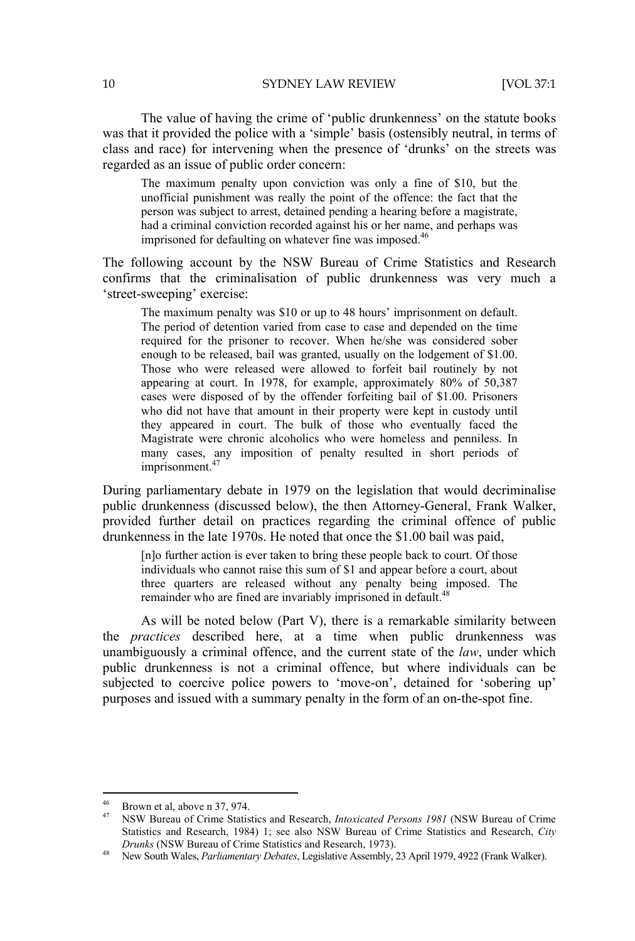The value of having the crime of 'public drunkenness' on the statute books was that it provided the police with a 'simple' basis (ostensibly neutral, in terms of class and race) for intervening when the presence of 'drunks' on the streets was regarded as an issue of public order concern:

The maximum penalty upon conviction was only a fine of \$10, but the unofficial punishment was really the point of the offence: the fact that the person was subject to arrest, detained pending a hearing before a magistrate, had a criminal conviction recorded against his or her name, and perhaps was imprisoned for defaulting on whatever fine was imposed.<sup>46</sup>

The following account by the NSW Bureau of Crime Statistics and Research confirms that the criminalisation of public drunkenness was very much a 'street-sweeping' exercise:

The maximum penalty was \$10 or up to 48 hours' imprisonment on default. The period of detention varied from case to case and depended on the time required for the prisoner to recover. When he/she was considered sober enough to be released, bail was granted, usually on the lodgement of \$1.00. Those who were released were allowed to forfeit bail routinely by not appearing at court. In 1978, for example, approximately 80% of 50,387 cases were disposed of by the offender forfeiting bail of \$1.00. Prisoners who did not have that amount in their property were kept in custody until they appeared in court. The bulk of those who eventually faced the Magistrate were chronic alcoholics who were homeless and penniless. In many cases, any imposition of penalty resulted in short periods of imprisonment.<sup>47</sup>

During parliamentary debate in 1979 on the legislation that would decriminalise public drunkenness (discussed below), the then Attorney-General, Frank Walker, provided further detail on practices regarding the criminal offence of public drunkenness in the late 1970s. He noted that once the \$1.00 bail was paid,

[n]o further action is ever taken to bring these people back to court. Of those individuals who cannot raise this sum of \$1 and appear before a court, about three quarters are released without any penalty being imposed. The remainder who are fined are invariably imprisoned in default.<sup>48</sup>

As will be noted below (Part V), there is a remarkable similarity between the *practices* described here, at a time when public drunkenness was unambiguously a criminal offence, and the current state of the *law*, under which public drunkenness is not a criminal offence, but where individuals can be subjected to coercive police powers to 'move-on', detained for 'sobering up' purposes and issued with a summary penalty in the form of an on-the-spot fine.

 $^{46}$  Brown et al, above n 37, 974.

<sup>47</sup> NSW Bureau of Crime Statistics and Research, *Intoxicated Persons 1981* (NSW Bureau of Crime Statistics and Research, 1984) 1; see also NSW Bureau of Crime Statistics and Research, *City Drunks* (NSW Bureau of Crime Statistics and Research, 1973). 48 New South Wales, *Parliamentary Debates*, Legislative Assembly, 23 April 1979, 4922 (Frank Walker).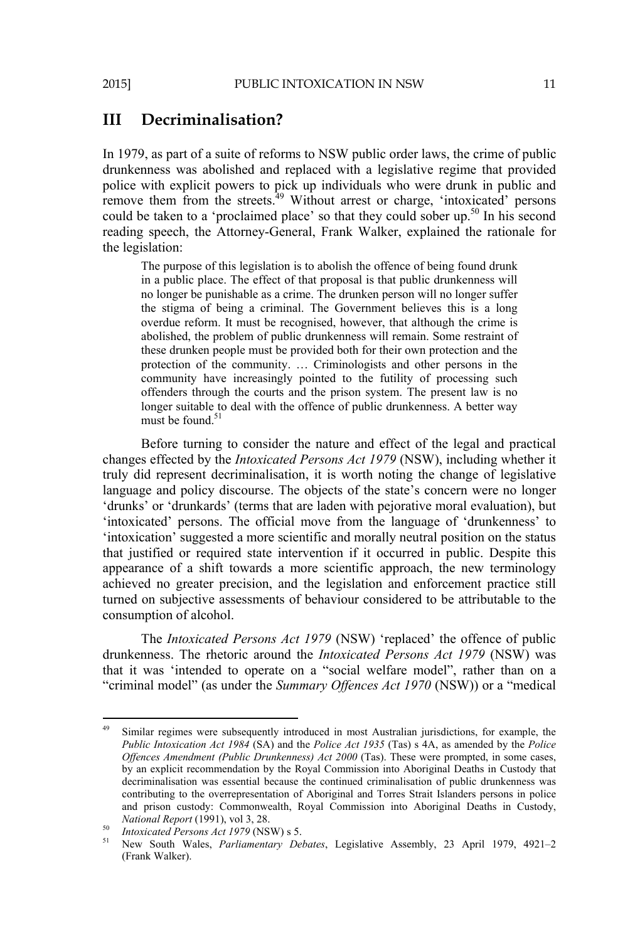#### **III Decriminalisation?**

In 1979, as part of a suite of reforms to NSW public order laws, the crime of public drunkenness was abolished and replaced with a legislative regime that provided police with explicit powers to pick up individuals who were drunk in public and remove them from the streets.<sup>49</sup> Without arrest or charge, 'intoxicated' persons could be taken to a 'proclaimed place' so that they could sober up.<sup>50</sup> In his second reading speech, the Attorney-General, Frank Walker, explained the rationale for the legislation:

The purpose of this legislation is to abolish the offence of being found drunk in a public place. The effect of that proposal is that public drunkenness will no longer be punishable as a crime. The drunken person will no longer suffer the stigma of being a criminal. The Government believes this is a long overdue reform. It must be recognised, however, that although the crime is abolished, the problem of public drunkenness will remain. Some restraint of these drunken people must be provided both for their own protection and the protection of the community. … Criminologists and other persons in the community have increasingly pointed to the futility of processing such offenders through the courts and the prison system. The present law is no longer suitable to deal with the offence of public drunkenness. A better way must be found <sup>51</sup>

Before turning to consider the nature and effect of the legal and practical changes effected by the *Intoxicated Persons Act 1979* (NSW), including whether it truly did represent decriminalisation, it is worth noting the change of legislative language and policy discourse. The objects of the state's concern were no longer 'drunks' or 'drunkards' (terms that are laden with pejorative moral evaluation), but 'intoxicated' persons. The official move from the language of 'drunkenness' to 'intoxication' suggested a more scientific and morally neutral position on the status that justified or required state intervention if it occurred in public. Despite this appearance of a shift towards a more scientific approach, the new terminology achieved no greater precision, and the legislation and enforcement practice still turned on subjective assessments of behaviour considered to be attributable to the consumption of alcohol.

The *Intoxicated Persons Act 1979* (NSW) 'replaced' the offence of public drunkenness. The rhetoric around the *Intoxicated Persons Act 1979* (NSW) was that it was 'intended to operate on a "social welfare model", rather than on a "criminal model" (as under the *Summary Offences Act 1970* (NSW)) or a "medical

Similar regimes were subsequently introduced in most Australian jurisdictions, for example, the *Public Intoxication Act 1984* (SA) and the *Police Act 1935* (Tas) s 4A, as amended by the *Police Offences Amendment (Public Drunkenness) Act 2000* (Tas). These were prompted, in some cases, by an explicit recommendation by the Royal Commission into Aboriginal Deaths in Custody that decriminalisation was essential because the continued criminalisation of public drunkenness was contributing to the overrepresentation of Aboriginal and Torres Strait Islanders persons in police and prison custody: Commonwealth, Royal Commission into Aboriginal Deaths in Custody, *National Report* (1991), vol 3, 28.<br><sup>50</sup> *Intoxicated Persons Act 1979* (NSW) s 5.<br><sup>51</sup> New South Wales, *Parliamentary Debates*, Legislative Assembly, 23 April 1979, 4921–2

<sup>(</sup>Frank Walker).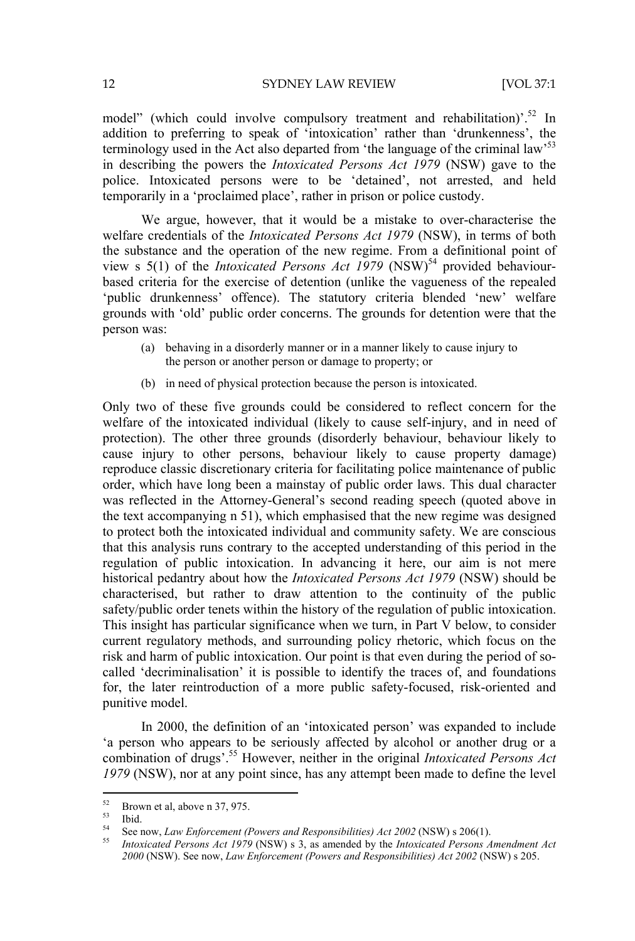12 SYDNEY LAW REVIEW [VOL 37:1

model" (which could involve compulsory treatment and rehabilitation)<sup>52</sup> In addition to preferring to speak of 'intoxication' rather than 'drunkenness', the terminology used in the Act also departed from 'the language of the criminal law'53 in describing the powers the *Intoxicated Persons Act 1979* (NSW) gave to the police. Intoxicated persons were to be 'detained', not arrested, and held temporarily in a 'proclaimed place', rather in prison or police custody.

We argue, however, that it would be a mistake to over-characterise the welfare credentials of the *Intoxicated Persons Act 1979* (NSW), in terms of both the substance and the operation of the new regime. From a definitional point of view s  $5(1)$  of the *Intoxicated Persons Act* 1979 (NSW)<sup>54</sup> provided behaviourbased criteria for the exercise of detention (unlike the vagueness of the repealed 'public drunkenness' offence). The statutory criteria blended 'new' welfare grounds with 'old' public order concerns. The grounds for detention were that the person was:

- (a) behaving in a disorderly manner or in a manner likely to cause injury to the person or another person or damage to property; or
- (b) in need of physical protection because the person is intoxicated.

Only two of these five grounds could be considered to reflect concern for the welfare of the intoxicated individual (likely to cause self-injury, and in need of protection). The other three grounds (disorderly behaviour, behaviour likely to cause injury to other persons, behaviour likely to cause property damage) reproduce classic discretionary criteria for facilitating police maintenance of public order, which have long been a mainstay of public order laws. This dual character was reflected in the Attorney-General's second reading speech (quoted above in the text accompanying n 51), which emphasised that the new regime was designed to protect both the intoxicated individual and community safety. We are conscious that this analysis runs contrary to the accepted understanding of this period in the regulation of public intoxication. In advancing it here, our aim is not mere historical pedantry about how the *Intoxicated Persons Act 1979* (NSW) should be characterised, but rather to draw attention to the continuity of the public safety/public order tenets within the history of the regulation of public intoxication. This insight has particular significance when we turn, in Part V below, to consider current regulatory methods, and surrounding policy rhetoric, which focus on the risk and harm of public intoxication. Our point is that even during the period of socalled 'decriminalisation' it is possible to identify the traces of, and foundations for, the later reintroduction of a more public safety-focused, risk-oriented and punitive model.

In 2000, the definition of an 'intoxicated person' was expanded to include 'a person who appears to be seriously affected by alcohol or another drug or a combination of drugs'.55 However, neither in the original *Intoxicated Persons Act 1979* (NSW), nor at any point since, has any attempt been made to define the level

 $rac{52}{53}$  Brown et al, above n 37, 975.

 $\begin{array}{c} 53 \\ 54 \end{array}$  Ibid.

<sup>54</sup> See now, *Law Enforcement (Powers and Responsibilities) Act 2002* (NSW) s 206(1). 55 *Intoxicated Persons Act 1979* (NSW) s 3, as amended by the *Intoxicated Persons Amendment Act* 

*<sup>2000</sup>* (NSW). See now, *Law Enforcement (Powers and Responsibilities) Act 2002* (NSW) s 205.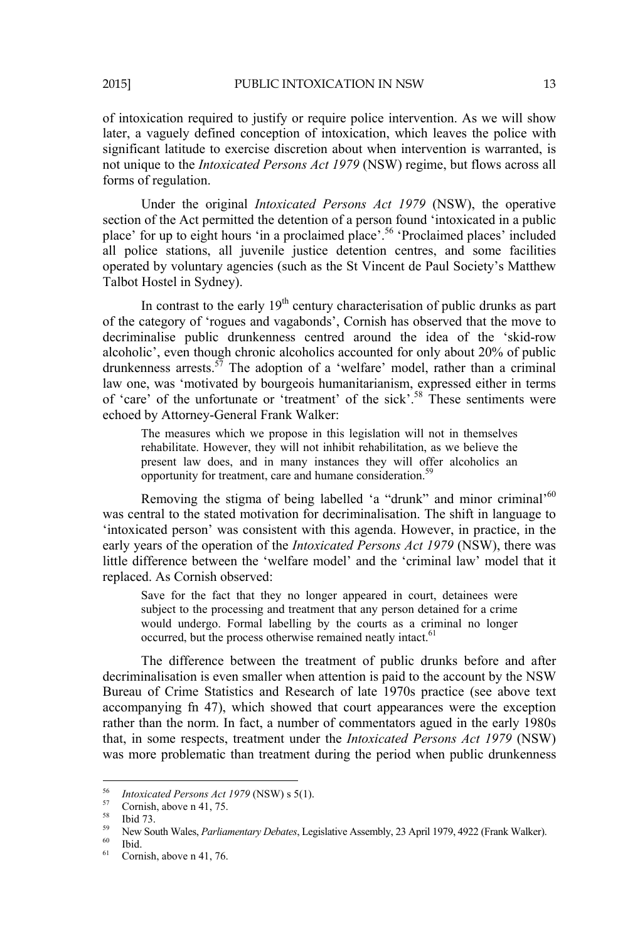of intoxication required to justify or require police intervention. As we will show later, a vaguely defined conception of intoxication, which leaves the police with significant latitude to exercise discretion about when intervention is warranted, is not unique to the *Intoxicated Persons Act 1979* (NSW) regime, but flows across all forms of regulation.

Under the original *Intoxicated Persons Act 1979* (NSW), the operative section of the Act permitted the detention of a person found 'intoxicated in a public place' for up to eight hours 'in a proclaimed place'.56 'Proclaimed places' included all police stations, all juvenile justice detention centres, and some facilities operated by voluntary agencies (such as the St Vincent de Paul Society's Matthew Talbot Hostel in Sydney).

In contrast to the early  $19<sup>th</sup>$  century characterisation of public drunks as part of the category of 'rogues and vagabonds', Cornish has observed that the move to decriminalise public drunkenness centred around the idea of the 'skid-row alcoholic', even though chronic alcoholics accounted for only about 20% of public drunkenness arrests.<sup>57</sup> The adoption of a 'welfare' model, rather than a criminal law one, was 'motivated by bourgeois humanitarianism, expressed either in terms of 'care' of the unfortunate or 'treatment' of the sick'.58 These sentiments were echoed by Attorney-General Frank Walker:

The measures which we propose in this legislation will not in themselves rehabilitate. However, they will not inhibit rehabilitation, as we believe the present law does, and in many instances they will offer alcoholics an opportunity for treatment, care and humane consideration.59

Removing the stigma of being labelled 'a "drunk" and minor criminal'<sup>60</sup> was central to the stated motivation for decriminalisation. The shift in language to 'intoxicated person' was consistent with this agenda. However, in practice, in the early years of the operation of the *Intoxicated Persons Act 1979* (NSW), there was little difference between the 'welfare model' and the 'criminal law' model that it replaced. As Cornish observed:

Save for the fact that they no longer appeared in court, detainees were subject to the processing and treatment that any person detained for a crime would undergo. Formal labelling by the courts as a criminal no longer occurred, but the process otherwise remained neatly intact.<sup>61</sup>

The difference between the treatment of public drunks before and after decriminalisation is even smaller when attention is paid to the account by the NSW Bureau of Crime Statistics and Research of late 1970s practice (see above text accompanying fn 47), which showed that court appearances were the exception rather than the norm. In fact, a number of commentators agued in the early 1980s that, in some respects, treatment under the *Intoxicated Persons Act 1979* (NSW) was more problematic than treatment during the period when public drunkenness

 <sup>56</sup> *Intoxicated Persons Act 1979* (NSW) s 5(1).<br><sup>57</sup> Cornish, above n 41, 75.

 $^{58}$  Ibid 73.

<sup>&</sup>lt;sup>59</sup> New South Wales, *Parliamentary Debates*, Legislative Assembly, 23 April 1979, 4922 (Frank Walker).<br><sup>60</sup> Ibid.<br><sup>61</sup> Camiahashavar 41.76

Cornish, above n 41, 76.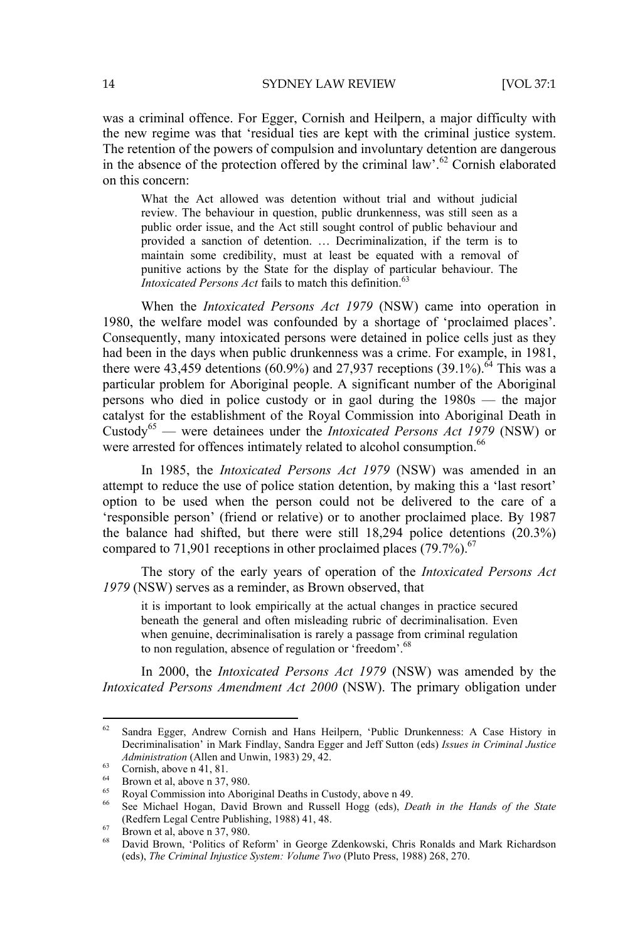was a criminal offence. For Egger, Cornish and Heilpern, a major difficulty with the new regime was that 'residual ties are kept with the criminal justice system. The retention of the powers of compulsion and involuntary detention are dangerous in the absence of the protection offered by the criminal law'.62 Cornish elaborated on this concern:

What the Act allowed was detention without trial and without judicial review. The behaviour in question, public drunkenness, was still seen as a public order issue, and the Act still sought control of public behaviour and provided a sanction of detention. … Decriminalization, if the term is to maintain some credibility, must at least be equated with a removal of punitive actions by the State for the display of particular behaviour. The *Intoxicated Persons Act* fails to match this definition.<sup>63</sup>

When the *Intoxicated Persons Act 1979* (NSW) came into operation in 1980, the welfare model was confounded by a shortage of 'proclaimed places'. Consequently, many intoxicated persons were detained in police cells just as they had been in the days when public drunkenness was a crime. For example, in 1981, there were 43,459 detentions (60.9%) and 27,937 receptions (39.1%).<sup>64</sup> This was a particular problem for Aboriginal people. A significant number of the Aboriginal persons who died in police custody or in gaol during the 1980s — the major catalyst for the establishment of the Royal Commission into Aboriginal Death in Custody65 — were detainees under the *Intoxicated Persons Act 1979* (NSW) or were arrested for offences intimately related to alcohol consumption.<sup>66</sup>

In 1985, the *Intoxicated Persons Act 1979* (NSW) was amended in an attempt to reduce the use of police station detention, by making this a 'last resort' option to be used when the person could not be delivered to the care of a 'responsible person' (friend or relative) or to another proclaimed place. By 1987 the balance had shifted, but there were still 18,294 police detentions (20.3%) compared to 71,901 receptions in other proclaimed places  $(79.7\%)$ .<sup>67</sup>

The story of the early years of operation of the *Intoxicated Persons Act 1979* (NSW) serves as a reminder, as Brown observed, that

it is important to look empirically at the actual changes in practice secured beneath the general and often misleading rubric of decriminalisation. Even when genuine, decriminalisation is rarely a passage from criminal regulation to non regulation, absence of regulation or 'freedom'.<sup>68</sup>

In 2000, the *Intoxicated Persons Act 1979* (NSW) was amended by the *Intoxicated Persons Amendment Act 2000* (NSW). The primary obligation under

<sup>62</sup> Sandra Egger, Andrew Cornish and Hans Heilpern, 'Public Drunkenness: A Case History in Decriminalisation' in Mark Findlay, Sandra Egger and Jeff Sutton (eds) *Issues in Criminal Justice Administration* (Allen and Unwin, 1983) 29, 42.<br><sup>63</sup> Cornish, above n 41, 81.

Brown et al, above n 37, 980.

<sup>&</sup>lt;sup>65</sup> Royal Commission into Aboriginal Deaths in Custody, above n 49.<br><sup>66</sup> Roya Michael Hogan, David Brown and Russell Hoga (eds), De

<sup>66</sup> See Michael Hogan, David Brown and Russell Hogg (eds), *Death in the Hands of the State* (Redfern Legal Centre Publishing, 1988) 41, 48.<br>
From et al, above n 37, 980.<br>
<sup>68</sup> Bavid Brown *S*Politics of Reform' in George

<sup>68</sup> David Brown, 'Politics of Reform' in George Zdenkowski, Chris Ronalds and Mark Richardson (eds), *The Criminal Injustice System: Volume Two* (Pluto Press, 1988) 268, 270.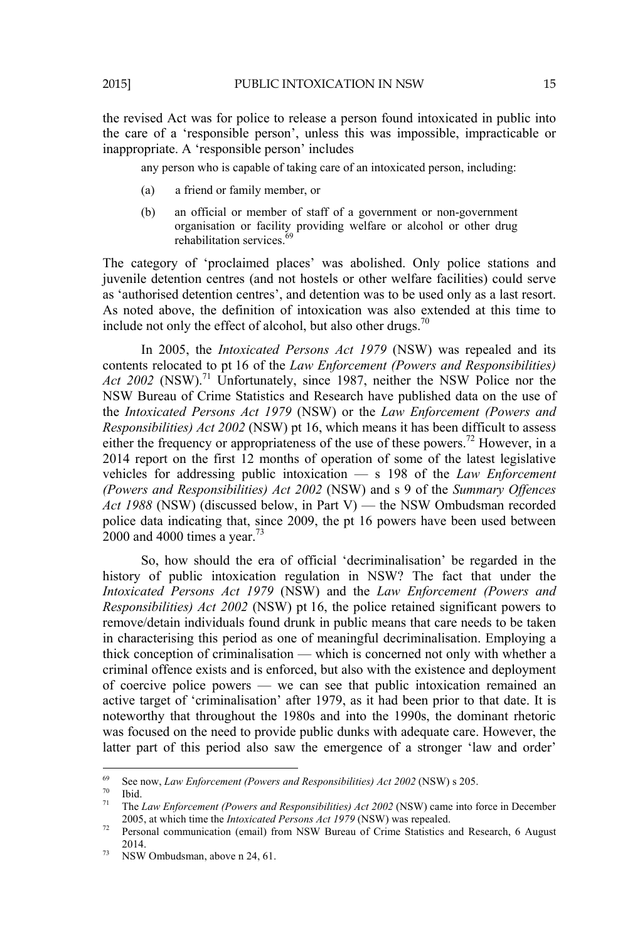the revised Act was for police to release a person found intoxicated in public into the care of a 'responsible person', unless this was impossible, impracticable or inappropriate. A 'responsible person' includes

any person who is capable of taking care of an intoxicated person, including:

- (a) a friend or family member, or
- (b) an official or member of staff of a government or non-government organisation or facility providing welfare or alcohol or other drug rehabilitation services. $\frac{6}{3}$

The category of 'proclaimed places' was abolished. Only police stations and juvenile detention centres (and not hostels or other welfare facilities) could serve as 'authorised detention centres', and detention was to be used only as a last resort. As noted above, the definition of intoxication was also extended at this time to include not only the effect of alcohol, but also other drugs. $70$ 

In 2005, the *Intoxicated Persons Act 1979* (NSW) was repealed and its contents relocated to pt 16 of the *Law Enforcement (Powers and Responsibilities) Act 2002* (NSW).<sup>71</sup> Unfortunately, since 1987, neither the NSW Police nor the NSW Bureau of Crime Statistics and Research have published data on the use of the *Intoxicated Persons Act 1979* (NSW) or the *Law Enforcement (Powers and Responsibilities) Act 2002* (NSW) pt 16, which means it has been difficult to assess either the frequency or appropriateness of the use of these powers.<sup>72</sup> However, in a 2014 report on the first 12 months of operation of some of the latest legislative vehicles for addressing public intoxication — s 198 of the *Law Enforcement (Powers and Responsibilities) Act 2002* (NSW) and s 9 of the *Summary Offences Act 1988* (NSW) (discussed below, in Part V) — the NSW Ombudsman recorded police data indicating that, since 2009, the pt 16 powers have been used between 2000 and 4000 times a year.<sup>73</sup>

So, how should the era of official 'decriminalisation' be regarded in the history of public intoxication regulation in NSW? The fact that under the *Intoxicated Persons Act 1979* (NSW) and the *Law Enforcement (Powers and Responsibilities) Act 2002* (NSW) pt 16, the police retained significant powers to remove/detain individuals found drunk in public means that care needs to be taken in characterising this period as one of meaningful decriminalisation. Employing a thick conception of criminalisation — which is concerned not only with whether a criminal offence exists and is enforced, but also with the existence and deployment of coercive police powers — we can see that public intoxication remained an active target of 'criminalisation' after 1979, as it had been prior to that date. It is noteworthy that throughout the 1980s and into the 1990s, the dominant rhetoric was focused on the need to provide public dunks with adequate care. However, the latter part of this period also saw the emergence of a stronger 'law and order'

<sup>&</sup>lt;sup>69</sup> See now, *Law Enforcement (Powers and Responsibilities) Act 2002* (NSW) s 205.<br><sup>70</sup> Ibid.<br><sup>71</sup> Ibid.

The *Law Enforcement (Powers and Responsibilities) Act 2002* (NSW) came into force in December 2005, at which time the *Intoxicated Persons Act 1979* (NSW) was repealed.

<sup>&</sup>lt;sup>72</sup> Personal communication (email) from NSW Bureau of Crime Statistics and Research, 6 August 2014.<br>
NSW Ombudsman, above n 24, 61.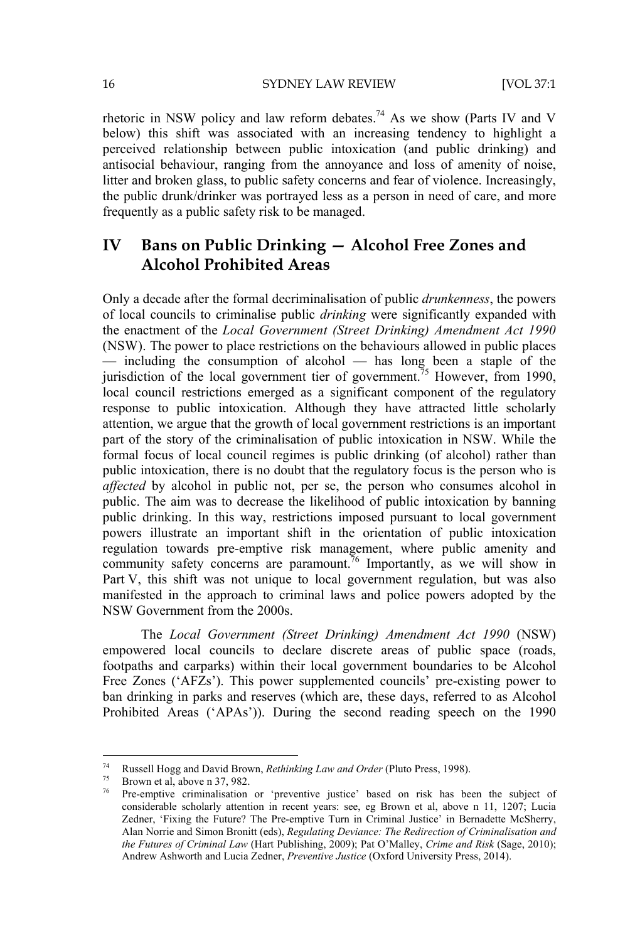rhetoric in NSW policy and law reform debates.<sup>74</sup> As we show (Parts IV and V below) this shift was associated with an increasing tendency to highlight a perceived relationship between public intoxication (and public drinking) and antisocial behaviour, ranging from the annoyance and loss of amenity of noise, litter and broken glass, to public safety concerns and fear of violence. Increasingly, the public drunk/drinker was portrayed less as a person in need of care, and more frequently as a public safety risk to be managed.

## **IV Bans on Public Drinking — Alcohol Free Zones and Alcohol Prohibited Areas**

Only a decade after the formal decriminalisation of public *drunkenness*, the powers of local councils to criminalise public *drinking* were significantly expanded with the enactment of the *Local Government (Street Drinking) Amendment Act 1990* (NSW). The power to place restrictions on the behaviours allowed in public places  $-$  including the consumption of alcohol  $-$  has long been a staple of the jurisdiction of the local government tier of government.<sup>75</sup> However, from 1990, local council restrictions emerged as a significant component of the regulatory response to public intoxication. Although they have attracted little scholarly attention, we argue that the growth of local government restrictions is an important part of the story of the criminalisation of public intoxication in NSW. While the formal focus of local council regimes is public drinking (of alcohol) rather than public intoxication, there is no doubt that the regulatory focus is the person who is *affected* by alcohol in public not, per se, the person who consumes alcohol in public. The aim was to decrease the likelihood of public intoxication by banning public drinking. In this way, restrictions imposed pursuant to local government powers illustrate an important shift in the orientation of public intoxication regulation towards pre-emptive risk management, where public amenity and community safety concerns are paramount.<sup>76</sup> Importantly, as we will show in Part V, this shift was not unique to local government regulation, but was also manifested in the approach to criminal laws and police powers adopted by the NSW Government from the 2000s.

The *Local Government (Street Drinking) Amendment Act 1990* (NSW) empowered local councils to declare discrete areas of public space (roads, footpaths and carparks) within their local government boundaries to be Alcohol Free Zones ('AFZs'). This power supplemented councils' pre-existing power to ban drinking in parks and reserves (which are, these days, referred to as Alcohol Prohibited Areas ('APAs')). During the second reading speech on the 1990

<sup>74</sup> Russell Hogg and David Brown, *Rethinking Law and Order* (Pluto Press, 1998). 75 Brown et al, above n 37, 982.

Pre-emptive criminalisation or 'preventive justice' based on risk has been the subject of considerable scholarly attention in recent years: see, eg Brown et al, above n 11, 1207; Lucia Zedner, 'Fixing the Future? The Pre-emptive Turn in Criminal Justice' in Bernadette McSherry, Alan Norrie and Simon Bronitt (eds), *Regulating Deviance: The Redirection of Criminalisation and the Futures of Criminal Law* (Hart Publishing, 2009); Pat O'Malley, *Crime and Risk* (Sage, 2010); Andrew Ashworth and Lucia Zedner, *Preventive Justice* (Oxford University Press, 2014).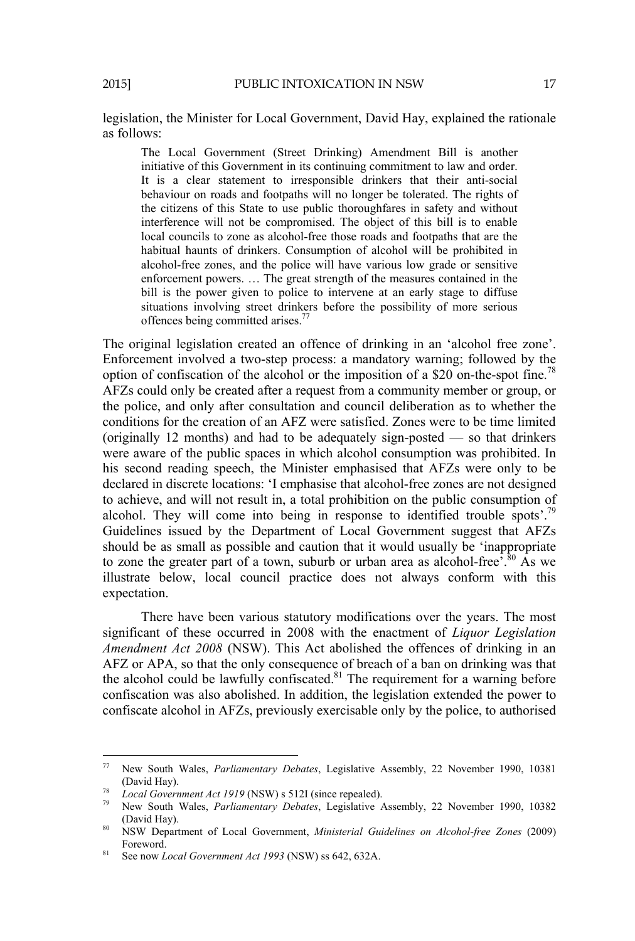legislation, the Minister for Local Government, David Hay, explained the rationale as follows:

The Local Government (Street Drinking) Amendment Bill is another initiative of this Government in its continuing commitment to law and order. It is a clear statement to irresponsible drinkers that their anti-social behaviour on roads and footpaths will no longer be tolerated. The rights of the citizens of this State to use public thoroughfares in safety and without interference will not be compromised. The object of this bill is to enable local councils to zone as alcohol-free those roads and footpaths that are the habitual haunts of drinkers. Consumption of alcohol will be prohibited in alcohol-free zones, and the police will have various low grade or sensitive enforcement powers. … The great strength of the measures contained in the bill is the power given to police to intervene at an early stage to diffuse situations involving street drinkers before the possibility of more serious offences being committed arises.77

The original legislation created an offence of drinking in an 'alcohol free zone'. Enforcement involved a two-step process: a mandatory warning; followed by the option of confiscation of the alcohol or the imposition of a \$20 on-the-spot fine.78 AFZs could only be created after a request from a community member or group, or the police, and only after consultation and council deliberation as to whether the conditions for the creation of an AFZ were satisfied. Zones were to be time limited (originally 12 months) and had to be adequately sign-posted — so that drinkers were aware of the public spaces in which alcohol consumption was prohibited. In his second reading speech, the Minister emphasised that AFZs were only to be declared in discrete locations: 'I emphasise that alcohol-free zones are not designed to achieve, and will not result in, a total prohibition on the public consumption of alcohol. They will come into being in response to identified trouble spots'.<sup>79</sup> Guidelines issued by the Department of Local Government suggest that AFZs should be as small as possible and caution that it would usually be 'inappropriate to zone the greater part of a town, suburb or urban area as alcohol-free,  $\frac{80}{3}$  As we illustrate below, local council practice does not always conform with this expectation.

There have been various statutory modifications over the years. The most significant of these occurred in 2008 with the enactment of *Liquor Legislation Amendment Act 2008* (NSW). This Act abolished the offences of drinking in an AFZ or APA, so that the only consequence of breach of a ban on drinking was that the alcohol could be lawfully confiscated.<sup>81</sup> The requirement for a warning before confiscation was also abolished. In addition, the legislation extended the power to confiscate alcohol in AFZs, previously exercisable only by the police, to authorised

<sup>77</sup> New South Wales, *Parliamentary Debates*, Legislative Assembly, 22 November 1990, 10381

<sup>(</sup>David Hay).<br><sup>78</sup> *Local Government Act 1919* (NSW) s 512I (since repealed).<br><sup>79</sup> New South Wales, *Parliamentary Debates*, Legislative Assembly, 22 November 1990, 10382<br>(David Hay).

<sup>&</sup>lt;sup>80</sup> NSW Department of Local Government, *Ministerial Guidelines on Alcohol-free Zones* (2009) Foreword. 81 See now *Local Government Act 1993* (NSW) ss 642, 632A.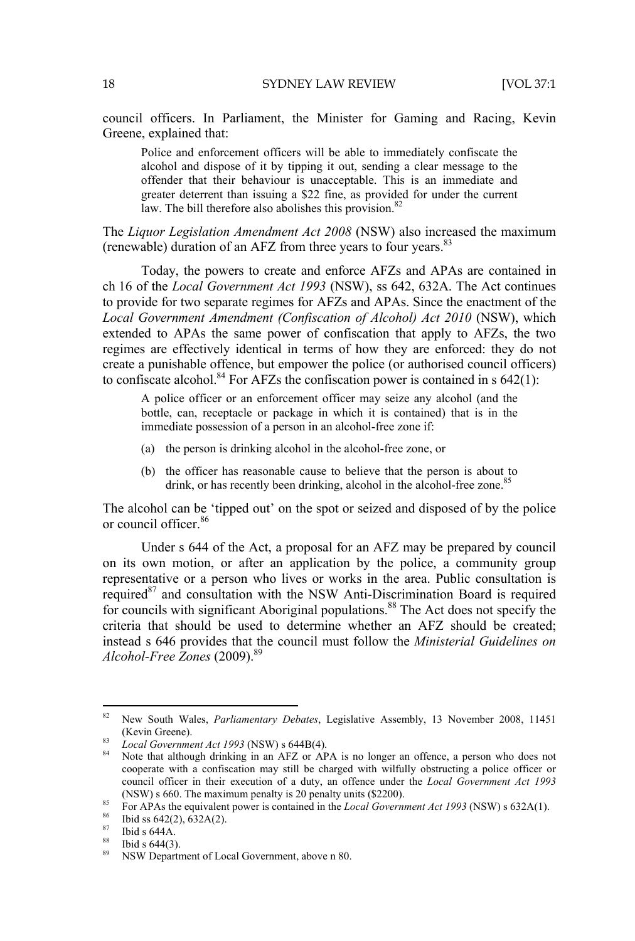council officers. In Parliament, the Minister for Gaming and Racing, Kevin Greene, explained that:

Police and enforcement officers will be able to immediately confiscate the alcohol and dispose of it by tipping it out, sending a clear message to the offender that their behaviour is unacceptable. This is an immediate and greater deterrent than issuing a \$22 fine, as provided for under the current law. The bill therefore also abolishes this provision.  $82$ 

The *Liquor Legislation Amendment Act 2008* (NSW) also increased the maximum (renewable) duration of an AFZ from three years to four years.83

Today, the powers to create and enforce AFZs and APAs are contained in ch 16 of the *Local Government Act 1993* (NSW), ss 642, 632A. The Act continues to provide for two separate regimes for AFZs and APAs. Since the enactment of the *Local Government Amendment (Confiscation of Alcohol) Act 2010* (NSW), which extended to APAs the same power of confiscation that apply to AFZs, the two regimes are effectively identical in terms of how they are enforced: they do not create a punishable offence, but empower the police (or authorised council officers) to confiscate alcohol.<sup>84</sup> For AFZs the confiscation power is contained in s  $642(1)$ :

A police officer or an enforcement officer may seize any alcohol (and the bottle, can, receptacle or package in which it is contained) that is in the immediate possession of a person in an alcohol-free zone if:

- (a) the person is drinking alcohol in the alcohol-free zone, or
- (b) the officer has reasonable cause to believe that the person is about to drink, or has recently been drinking, alcohol in the alcohol-free zone.<sup>85</sup>

The alcohol can be 'tipped out' on the spot or seized and disposed of by the police or council officer.<sup>86</sup>

Under s 644 of the Act, a proposal for an AFZ may be prepared by council on its own motion, or after an application by the police, a community group representative or a person who lives or works in the area. Public consultation is required $87$  and consultation with the NSW Anti-Discrimination Board is required for councils with significant Aboriginal populations.<sup>88</sup> The Act does not specify the criteria that should be used to determine whether an AFZ should be created; instead s 646 provides that the council must follow the *Ministerial Guidelines on Alcohol-Free Zones* (2009).89

<sup>82</sup> New South Wales, *Parliamentary Debates*, Legislative Assembly, 13 November 2008, 11451

<sup>(</sup>Kevin Greene). 83 *Local Government Act 1993* (NSW) s 644B(4). 84 Note that although drinking in an AFZ or APA is no longer an offence, a person who does not cooperate with a confiscation may still be charged with wilfully obstructing a police officer or council officer in their execution of a duty, an offence under the *Local Government Act 1993* (NSW) s 660. The maximum penalty is 20 penalty units (\$2200).<br><sup>85</sup> For APAs the equivalent power is contained in the *Local Government Act 1993* (NSW) s 632A(1).<br><sup>86</sup> Ibid ss 642(2), 632A(2).

<sup>87</sup> Ibid s 644A.

 $88$  Ibid s 644(3).

<sup>89</sup> NSW Department of Local Government, above n 80.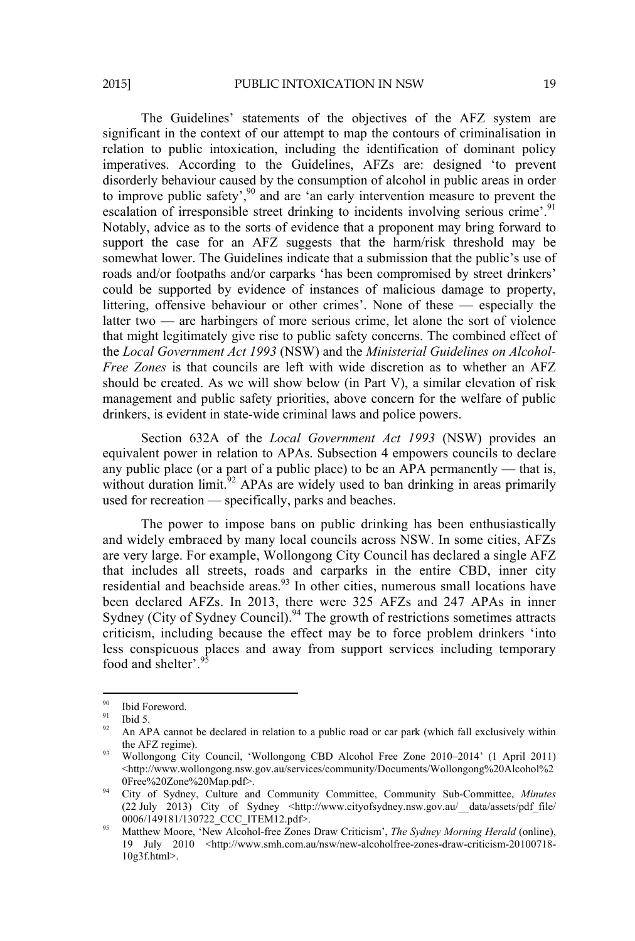The Guidelines' statements of the objectives of the AFZ system are significant in the context of our attempt to map the contours of criminalisation in relation to public intoxication, including the identification of dominant policy imperatives. According to the Guidelines, AFZs are: designed 'to prevent disorderly behaviour caused by the consumption of alcohol in public areas in order to improve public safety',<sup>90</sup> and are 'an early intervention measure to prevent the escalation of irresponsible street drinking to incidents involving serious crime'.<sup>91</sup> Notably, advice as to the sorts of evidence that a proponent may bring forward to support the case for an AFZ suggests that the harm/risk threshold may be somewhat lower. The Guidelines indicate that a submission that the public's use of roads and/or footpaths and/or carparks 'has been compromised by street drinkers' could be supported by evidence of instances of malicious damage to property, littering, offensive behaviour or other crimes'. None of these — especially the latter two — are harbingers of more serious crime, let alone the sort of violence that might legitimately give rise to public safety concerns. The combined effect of the *Local Government Act 1993* (NSW) and the *Ministerial Guidelines on Alcohol-Free Zones* is that councils are left with wide discretion as to whether an AFZ should be created. As we will show below (in Part V), a similar elevation of risk management and public safety priorities, above concern for the welfare of public drinkers, is evident in state-wide criminal laws and police powers.

Section 632A of the *Local Government Act 1993* (NSW) provides an equivalent power in relation to APAs. Subsection 4 empowers councils to declare any public place (or a part of a public place) to be an APA permanently  $-$  that is, without duration limit.<sup>92</sup> APAs are widely used to ban drinking in areas primarily without duration limit.<sup>92</sup> used for recreation — specifically, parks and beaches.

The power to impose bans on public drinking has been enthusiastically and widely embraced by many local councils across NSW. In some cities, AFZs are very large. For example, Wollongong City Council has declared a single AFZ that includes all streets, roads and carparks in the entire CBD, inner city residential and beachside areas.<sup>93</sup> In other cities, numerous small locations have been declared AFZs. In 2013, there were 325 AFZs and 247 APAs in inner Sydney (City of Sydney Council).<sup>94</sup> The growth of restrictions sometimes attracts criticism, including because the effect may be to force problem drinkers 'into less conspicuous places and away from support services including temporary food and shelter'.<sup>9</sup>

 $^{90}$  Ibid Foreword.

 $^{91}$  Ibid 5.

An APA cannot be declared in relation to a public road or car park (which fall exclusively within the AFZ regime). 93 Wollongong City Council, 'Wollongong CBD Alcohol Free Zone 2010–2014' (1 April 2011)

 $\leq$ http://www.wollongong.nsw.gov.au/services/community/Documents/Wollongong%20Alcohol%2

<sup>0</sup>Free%20Zone%20Map.pdf>. 94 City of Sydney, Culture and Community Committee, Community Sub-Committee, *Minutes* (22 July 2013) City of Sydney <http://www.cityofsydney.nsw.gov.au/\_\_data/assets/pdf\_file/

<sup>&</sup>lt;sup>95</sup> Matthew Moore, 'New Alcohol-free Zones Draw Criticism', *The Sydney Morning Herald* (online), 19 July 2010 <http://www.smh.com.au/nsw/new-alcoholfree-zones-draw-criticism-20100718- 10g3f.html>.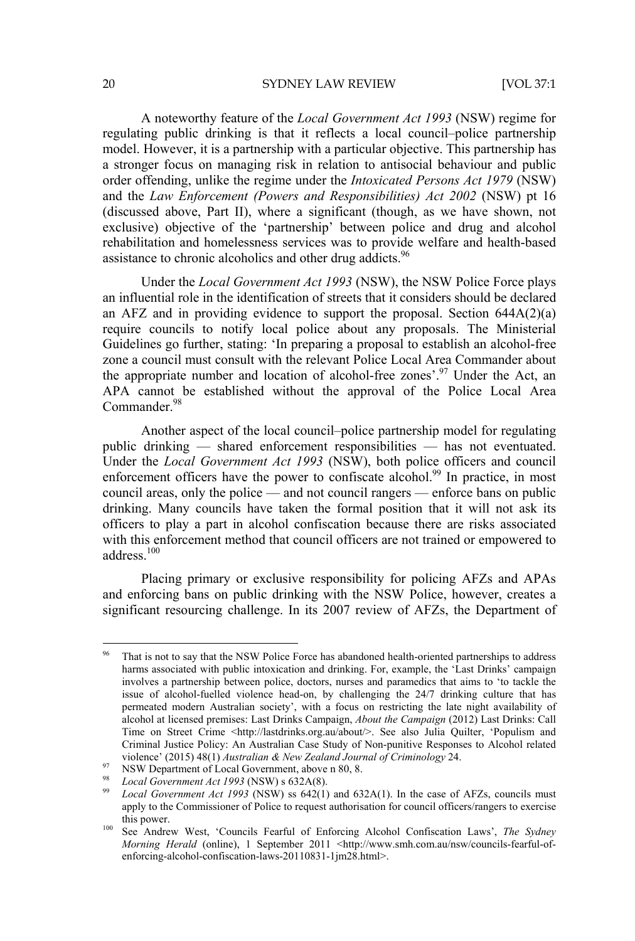#### 20 SYDNEY LAW REVIEW [VOL 37:1

A noteworthy feature of the *Local Government Act 1993* (NSW) regime for regulating public drinking is that it reflects a local council–police partnership model. However, it is a partnership with a particular objective. This partnership has a stronger focus on managing risk in relation to antisocial behaviour and public order offending, unlike the regime under the *Intoxicated Persons Act 1979* (NSW) and the *Law Enforcement (Powers and Responsibilities) Act 2002* (NSW) pt 16 (discussed above, Part II), where a significant (though, as we have shown, not exclusive) objective of the 'partnership' between police and drug and alcohol rehabilitation and homelessness services was to provide welfare and health-based assistance to chronic alcoholics and other drug addicts.<sup>96</sup>

Under the *Local Government Act 1993* (NSW), the NSW Police Force plays an influential role in the identification of streets that it considers should be declared an AFZ and in providing evidence to support the proposal. Section  $644A(2)(a)$ require councils to notify local police about any proposals. The Ministerial Guidelines go further, stating: 'In preparing a proposal to establish an alcohol-free zone a council must consult with the relevant Police Local Area Commander about the appropriate number and location of alcohol-free zones'.<sup>97</sup> Under the Act, an APA cannot be established without the approval of the Police Local Area Commander.<sup>98</sup>

Another aspect of the local council–police partnership model for regulating public drinking — shared enforcement responsibilities — has not eventuated. Under the *Local Government Act 1993* (NSW), both police officers and council enforcement officers have the power to confiscate alcohol.<sup>99</sup> In practice, in most council areas, only the police — and not council rangers — enforce bans on public drinking. Many councils have taken the formal position that it will not ask its officers to play a part in alcohol confiscation because there are risks associated with this enforcement method that council officers are not trained or empowered to address<sup>100</sup>

Placing primary or exclusive responsibility for policing AFZs and APAs and enforcing bans on public drinking with the NSW Police, however, creates a significant resourcing challenge. In its 2007 review of AFZs, the Department of

That is not to say that the NSW Police Force has abandoned health-oriented partnerships to address harms associated with public intoxication and drinking. For, example, the 'Last Drinks' campaign involves a partnership between police, doctors, nurses and paramedics that aims to 'to tackle the issue of alcohol-fuelled violence head-on, by challenging the 24/7 drinking culture that has permeated modern Australian society', with a focus on restricting the late night availability of alcohol at licensed premises: Last Drinks Campaign, *About the Campaign* (2012) Last Drinks: Call Time on Street Crime <http://lastdrinks.org.au/about/>. See also Julia Quilter, 'Populism and Criminal Justice Policy: An Australian Case Study of Non-punitive Responses to Alcohol related violence' (2015) 48(1) Australian & New Zealand Journal of Criminology 24.<br>
NSW Department of Local Government, above n 80, 8.<br>
<sup>98</sup> Local Government Act 1993 (NSW) s 632A(8).<br>
<sup>99</sup> Local Government Act 1993 (NSW) ss 642(

apply to the Commissioner of Police to request authorisation for council officers/rangers to exercise this power. 100 See Andrew West, 'Councils Fearful of Enforcing Alcohol Confiscation Laws', *The Sydney* 

*Morning Herald* (online), 1 September 2011 <http://www.smh.com.au/nsw/councils-fearful-ofenforcing-alcohol-confiscation-laws-20110831-1jm28.html>.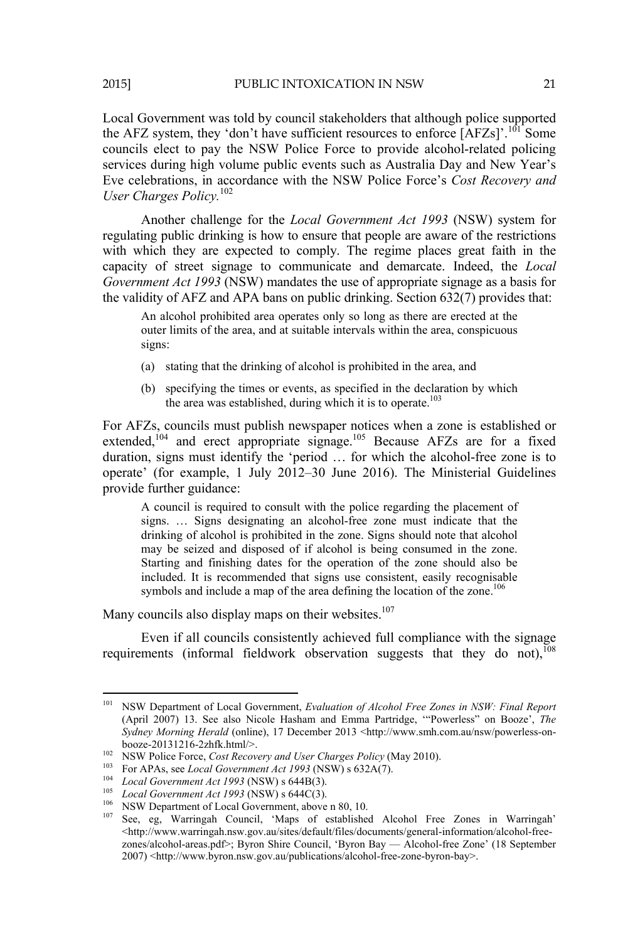Local Government was told by council stakeholders that although police supported the AFZ system, they 'don't have sufficient resources to enforce  $[AFZs]'$ .<sup>101</sup> Some councils elect to pay the NSW Police Force to provide alcohol-related policing services during high volume public events such as Australia Day and New Year's

Eve celebrations, in accordance with the NSW Police Force's *Cost Recovery and* 

Another challenge for the *Local Government Act 1993* (NSW) system for regulating public drinking is how to ensure that people are aware of the restrictions with which they are expected to comply. The regime places great faith in the capacity of street signage to communicate and demarcate. Indeed, the *Local Government Act 1993* (NSW) mandates the use of appropriate signage as a basis for the validity of AFZ and APA bans on public drinking. Section 632(7) provides that:

An alcohol prohibited area operates only so long as there are erected at the outer limits of the area, and at suitable intervals within the area, conspicuous signs:

- (a) stating that the drinking of alcohol is prohibited in the area, and
- (b) specifying the times or events, as specified in the declaration by which the area was established, during which it is to operate.<sup>103</sup>

For AFZs, councils must publish newspaper notices when a zone is established or extended,<sup> $104$ </sup> and erect appropriate signage.<sup>105</sup> Because AFZs are for a fixed duration, signs must identify the 'period … for which the alcohol-free zone is to operate' (for example, 1 July 2012–30 June 2016). The Ministerial Guidelines provide further guidance:

A council is required to consult with the police regarding the placement of signs. … Signs designating an alcohol-free zone must indicate that the drinking of alcohol is prohibited in the zone. Signs should note that alcohol may be seized and disposed of if alcohol is being consumed in the zone. Starting and finishing dates for the operation of the zone should also be included. It is recommended that signs use consistent, easily recognisable symbols and include a map of the area defining the location of the zone.<sup>106</sup>

Many councils also display maps on their websites.<sup>107</sup>

Even if all councils consistently achieved full compliance with the signage requirements (informal fieldwork observation suggests that they do not),<sup>108</sup>

 

*User Charges Policy.*<sup>102</sup>

<sup>101</sup> NSW Department of Local Government, *Evaluation of Alcohol Free Zones in NSW: Final Report* (April 2007) 13. See also Nicole Hasham and Emma Partridge, '"Powerless" on Booze', *The Sydney Morning Herald* (online), 17 December 2013 <http://www.smh.com.au/nsw/powerless-onbooze-20131216-2zhfk.html/>.<br>
<sup>102</sup> NSW Police Force, *Cost Recovery and User Charges Policy* (May 2010).<br>
<sup>103</sup> For APAs, see *Local Government Act 1993* (NSW) s 632A(7).<br>
<sup>104</sup> *Local Government Act 1993* (NSW) s 644B(3

 $\langle$ http://www.warringah.nsw.gov.au/sites/default/files/documents/general-information/alcohol-freezones/alcohol-areas.pdf>; Byron Shire Council, 'Byron Bay — Alcohol-free Zone' (18 September 2007) <http://www.byron.nsw.gov.au/publications/alcohol-free-zone-byron-bay>.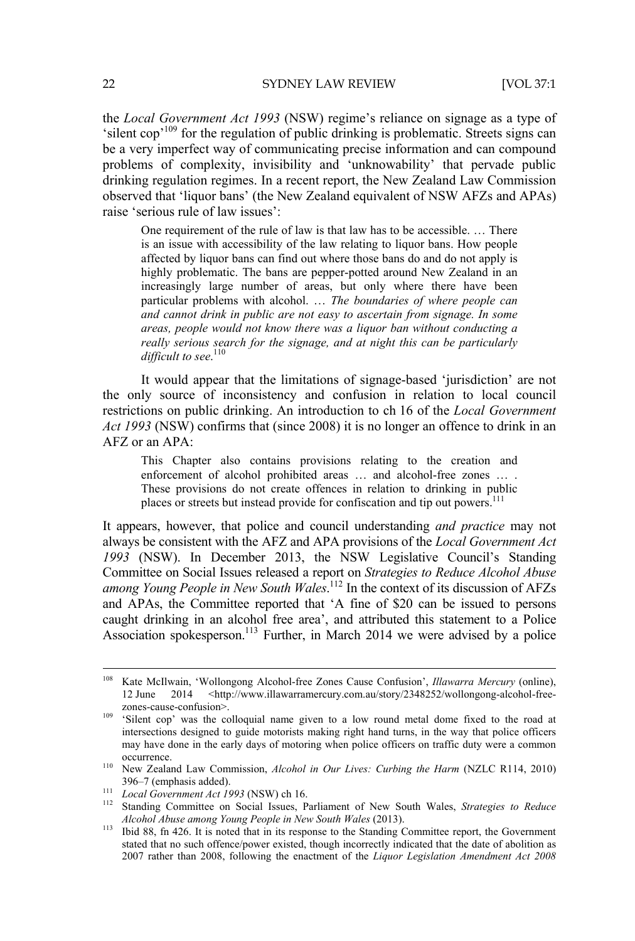the *Local Government Act 1993* (NSW) regime's reliance on signage as a type of 'silent cop'109 for the regulation of public drinking is problematic. Streets signs can be a very imperfect way of communicating precise information and can compound problems of complexity, invisibility and 'unknowability' that pervade public drinking regulation regimes. In a recent report, the New Zealand Law Commission observed that 'liquor bans' (the New Zealand equivalent of NSW AFZs and APAs) raise 'serious rule of law issues':

One requirement of the rule of law is that law has to be accessible. … There is an issue with accessibility of the law relating to liquor bans. How people affected by liquor bans can find out where those bans do and do not apply is highly problematic. The bans are pepper-potted around New Zealand in an increasingly large number of areas, but only where there have been particular problems with alcohol. … *The boundaries of where people can and cannot drink in public are not easy to ascertain from signage. In some areas, people would not know there was a liquor ban without conducting a really serious search for the signage, and at night this can be particularly*  difficult to see.<sup>110</sup>

It would appear that the limitations of signage-based 'jurisdiction' are not the only source of inconsistency and confusion in relation to local council restrictions on public drinking. An introduction to ch 16 of the *Local Government Act 1993* (NSW) confirms that (since 2008) it is no longer an offence to drink in an AFZ or an APA:

This Chapter also contains provisions relating to the creation and enforcement of alcohol prohibited areas ... and alcohol-free zones ... . These provisions do not create offences in relation to drinking in public places or streets but instead provide for confiscation and tip out powers.<sup>111</sup>

It appears, however, that police and council understanding *and practice* may not always be consistent with the AFZ and APA provisions of the *Local Government Act 1993* (NSW). In December 2013, the NSW Legislative Council's Standing Committee on Social Issues released a report on *Strategies to Reduce Alcohol Abuse among Young People in New South Wales*. 112 In the context of its discussion of AFZs and APAs, the Committee reported that 'A fine of \$20 can be issued to persons caught drinking in an alcohol free area', and attributed this statement to a Police Association spokesperson.<sup>113</sup> Further, in March 2014 we were advised by a police

<sup>108</sup> Kate McIlwain, 'Wollongong Alcohol-free Zones Cause Confusion', *Illawarra Mercury* (online), 12 June 2014 <http://www.illawarramercury.com.au/story/2348252/wollongong-alcohol-free-

zones-cause-confusion>. 109 'Silent cop' was the colloquial name given to a low round metal dome fixed to the road at intersections designed to guide motorists making right hand turns, in the way that police officers may have done in the early days of motoring when police officers on traffic duty were a common occurrence. 110 New Zealand Law Commission, *Alcohol in Our Lives: Curbing the Harm* (NZLC R114, 2010)

<sup>396–7 (</sup>emphasis added). 111 *Local Government Act 1993* (NSW) ch 16. 112 Standing Committee on Social Issues, Parliament of New South Wales, *Strategies to Reduce* 

*Alcohol Abuse among Young People in New South Wales* (2013). 113 Ibid 88, fn 426. It is noted that in its response to the Standing Committee report, the Government stated that no such offence/power existed, though incorrectly indicated that the date of abolition as 2007 rather than 2008, following the enactment of the *Liquor Legislation Amendment Act 2008*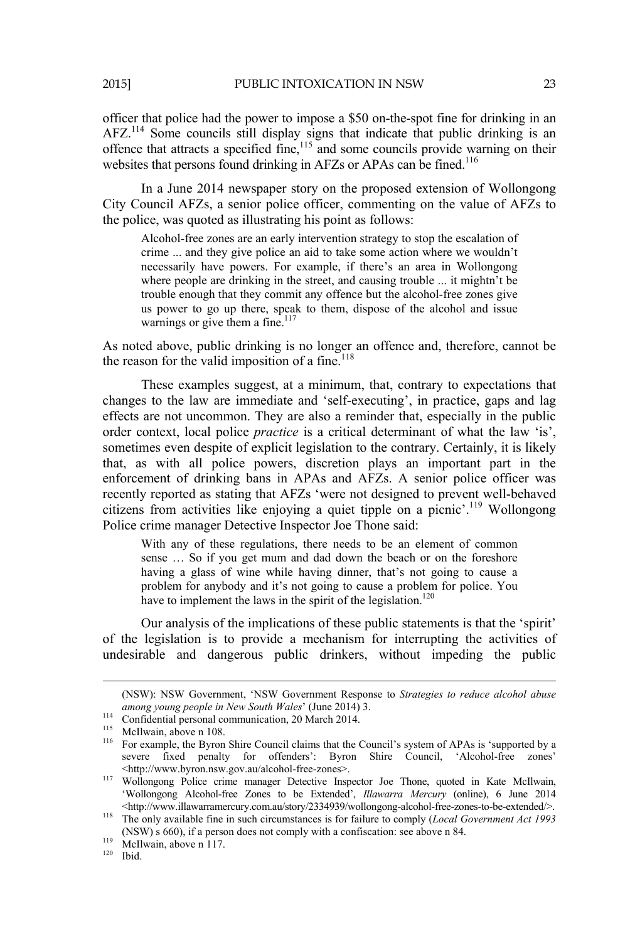officer that police had the power to impose a \$50 on-the-spot fine for drinking in an AFZ.114 Some councils still display signs that indicate that public drinking is an offence that attracts a specified fine,<sup>115</sup> and some councils provide warning on their websites that persons found drinking in AFZs or APAs can be fined.<sup>116</sup>

In a June 2014 newspaper story on the proposed extension of Wollongong City Council AFZs, a senior police officer, commenting on the value of AFZs to the police, was quoted as illustrating his point as follows:

Alcohol-free zones are an early intervention strategy to stop the escalation of crime ... and they give police an aid to take some action where we wouldn't necessarily have powers. For example, if there's an area in Wollongong where people are drinking in the street, and causing trouble ... it mightn't be trouble enough that they commit any offence but the alcohol-free zones give us power to go up there, speak to them, dispose of the alcohol and issue warnings or give them a fine.<sup>117</sup>

As noted above, public drinking is no longer an offence and, therefore, cannot be the reason for the valid imposition of a fine.<sup>118</sup>

These examples suggest, at a minimum, that, contrary to expectations that changes to the law are immediate and 'self-executing', in practice, gaps and lag effects are not uncommon. They are also a reminder that, especially in the public order context, local police *practice* is a critical determinant of what the law 'is', sometimes even despite of explicit legislation to the contrary. Certainly, it is likely that, as with all police powers, discretion plays an important part in the enforcement of drinking bans in APAs and AFZs. A senior police officer was recently reported as stating that AFZs 'were not designed to prevent well-behaved citizens from activities like enjoying a quiet tipple on a picnic'.119 Wollongong Police crime manager Detective Inspector Joe Thone said:

With any of these regulations, there needs to be an element of common sense … So if you get mum and dad down the beach or on the foreshore having a glass of wine while having dinner, that's not going to cause a problem for anybody and it's not going to cause a problem for police. You have to implement the laws in the spirit of the legislation.<sup>120</sup>

Our analysis of the implications of these public statements is that the 'spirit' of the legislation is to provide a mechanism for interrupting the activities of undesirable and dangerous public drinkers, without impeding the public

<sup>&</sup>lt;u> Alexandro Alexandro Alexandro Alexandro Alexandro Alexandro Alexandro Alexandro Alexandro Alexandro Alexandro </u> (NSW): NSW Government, 'NSW Government Response to *Strategies to reduce alcohol abuse among young people in New South Wales*' (June 2014) 3.

<sup>&</sup>lt;sup>115</sup> McIlwain, above n 108.<br><sup>116</sup> For example, the Byron Shire Council claims that the Council's system of APAs is 'supported by a severe fixed penalty for offenders': Byron Shire Council, 'Alcohol-free zones'<br>
<http://www.byron.nsw.gov.au/alcohol-free-zones>.

<sup>117</sup> Wollongong Police crime manager Detective Inspector Joe Thone, quoted in Kate McIlwain, 'Wollongong Alcohol-free Zones to be Extended', *Illawarra Mercury* (online), 6 June 2014

<sup>&</sup>lt;sup>118</sup> The only available fine in such circumstances is for failure to comply (*Local Government Act 1993* (NSW) s 660), if a person does not comply with a confiscation: see above n 84. 119 McIlwain, above n 117. 120 Ibid.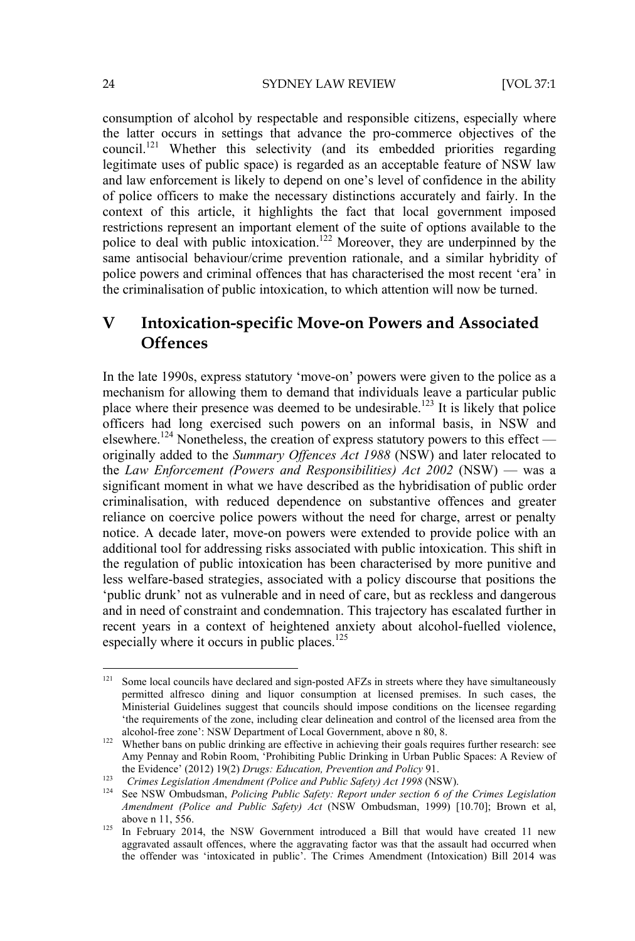consumption of alcohol by respectable and responsible citizens, especially where the latter occurs in settings that advance the pro-commerce objectives of the council.121 Whether this selectivity (and its embedded priorities regarding legitimate uses of public space) is regarded as an acceptable feature of NSW law and law enforcement is likely to depend on one's level of confidence in the ability of police officers to make the necessary distinctions accurately and fairly. In the context of this article, it highlights the fact that local government imposed restrictions represent an important element of the suite of options available to the police to deal with public intoxication.<sup>122</sup> Moreover, they are underpinned by the same antisocial behaviour/crime prevention rationale, and a similar hybridity of police powers and criminal offences that has characterised the most recent 'era' in the criminalisation of public intoxication, to which attention will now be turned.

# **V Intoxication-specific Move-on Powers and Associated Offences**

In the late 1990s, express statutory 'move-on' powers were given to the police as a mechanism for allowing them to demand that individuals leave a particular public place where their presence was deemed to be undesirable.<sup>123</sup> It is likely that police officers had long exercised such powers on an informal basis, in NSW and elsewhere.<sup>124</sup> Nonetheless, the creation of express statutory powers to this effect originally added to the *Summary Offences Act 1988* (NSW) and later relocated to the *Law Enforcement (Powers and Responsibilities) Act 2002* (NSW) — was a significant moment in what we have described as the hybridisation of public order criminalisation, with reduced dependence on substantive offences and greater reliance on coercive police powers without the need for charge, arrest or penalty notice. A decade later, move-on powers were extended to provide police with an additional tool for addressing risks associated with public intoxication. This shift in the regulation of public intoxication has been characterised by more punitive and less welfare-based strategies, associated with a policy discourse that positions the 'public drunk' not as vulnerable and in need of care, but as reckless and dangerous and in need of constraint and condemnation. This trajectory has escalated further in recent years in a context of heightened anxiety about alcohol-fuelled violence, especially where it occurs in public places.<sup>125</sup>

<sup>&</sup>lt;sup>121</sup> Some local councils have declared and sign-posted AFZs in streets where they have simultaneously permitted alfresco dining and liquor consumption at licensed premises. In such cases, the Ministerial Guidelines suggest that councils should impose conditions on the licensee regarding 'the requirements of the zone, including clear delineation and control of the licensed area from the

alcohol-free zone': NSW Department of Local Government, above n 80, 8.<br><sup>122</sup> Whether bans on public drinking are effective in achieving their goals requires further research: see Amy Pennay and Robin Room, 'Prohibiting Public Drinking in Urban Public Spaces: A Review of the Evidence' (2012) 19(2) Drugs: Education, Prevention and Policy 91.

<sup>123</sup> Crimes Legislation Amendment (Police and Public Safety) Act 1998 (NSW).<br><sup>124</sup> See NSW Ombudsman, *Policing Public Safety: Report under section 6 of the Crimes Legislation Amendment (Police and Public Safety) Act* (NSW Ombudsman, 1999) [10.70]; Brown et al,

above n 11, 556.<br><sup>125</sup> In February 2014, the NSW Government introduced a Bill that would have created 11 new aggravated assault offences, where the aggravating factor was that the assault had occurred when the offender was 'intoxicated in public'. The Crimes Amendment (Intoxication) Bill 2014 was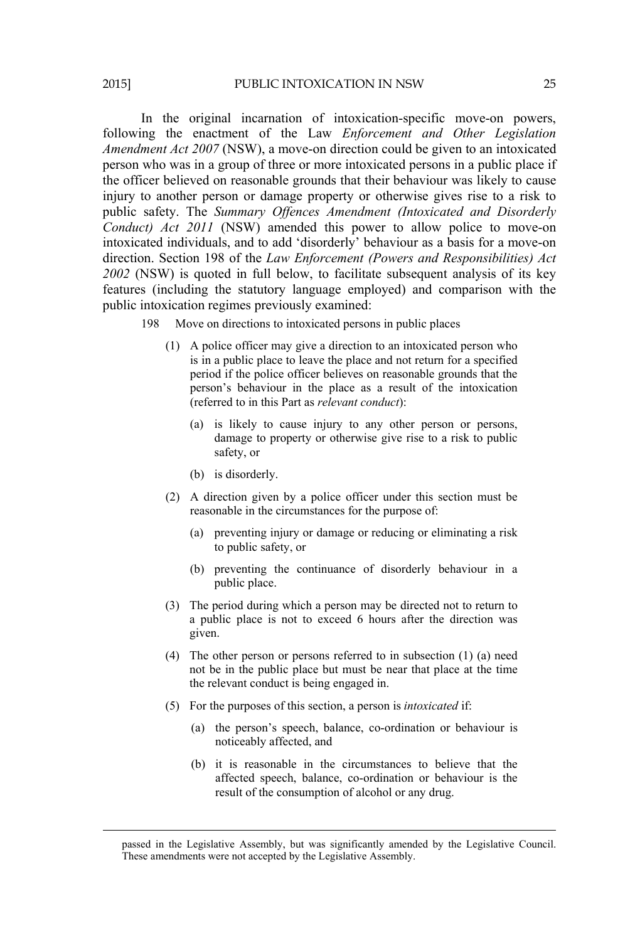In the original incarnation of intoxication-specific move-on powers, following the enactment of the Law *Enforcement and Other Legislation Amendment Act 2007* (NSW), a move-on direction could be given to an intoxicated person who was in a group of three or more intoxicated persons in a public place if the officer believed on reasonable grounds that their behaviour was likely to cause injury to another person or damage property or otherwise gives rise to a risk to public safety. The *Summary Offences Amendment (Intoxicated and Disorderly Conduct) Act 2011* (NSW) amended this power to allow police to move-on intoxicated individuals, and to add 'disorderly' behaviour as a basis for a move-on direction. Section 198 of the *Law Enforcement (Powers and Responsibilities) Act 2002* (NSW) is quoted in full below, to facilitate subsequent analysis of its key features (including the statutory language employed) and comparison with the public intoxication regimes previously examined:

198 Move on directions to intoxicated persons in public places

- (1) A police officer may give a direction to an intoxicated person who is in a public place to leave the place and not return for a specified period if the police officer believes on reasonable grounds that the person's behaviour in the place as a result of the intoxication (referred to in this Part as *relevant conduct*):
	- (a) is likely to cause injury to any other person or persons, damage to property or otherwise give rise to a risk to public safety, or
	- (b) is disorderly.
- (2) A direction given by a police officer under this section must be reasonable in the circumstances for the purpose of:
	- (a) preventing injury or damage or reducing or eliminating a risk to public safety, or
	- (b) preventing the continuance of disorderly behaviour in a public place.
- (3) The period during which a person may be directed not to return to a public place is not to exceed 6 hours after the direction was given.
- (4) The other person or persons referred to in subsection (1) (a) need not be in the public place but must be near that place at the time the relevant conduct is being engaged in.
- (5) For the purposes of this section, a person is *intoxicated* if:
	- (a) the person's speech, balance, co-ordination or behaviour is noticeably affected, and
	- (b) it is reasonable in the circumstances to believe that the affected speech, balance, co-ordination or behaviour is the result of the consumption of alcohol or any drug.

 passed in the Legislative Assembly, but was significantly amended by the Legislative Council. These amendments were not accepted by the Legislative Assembly.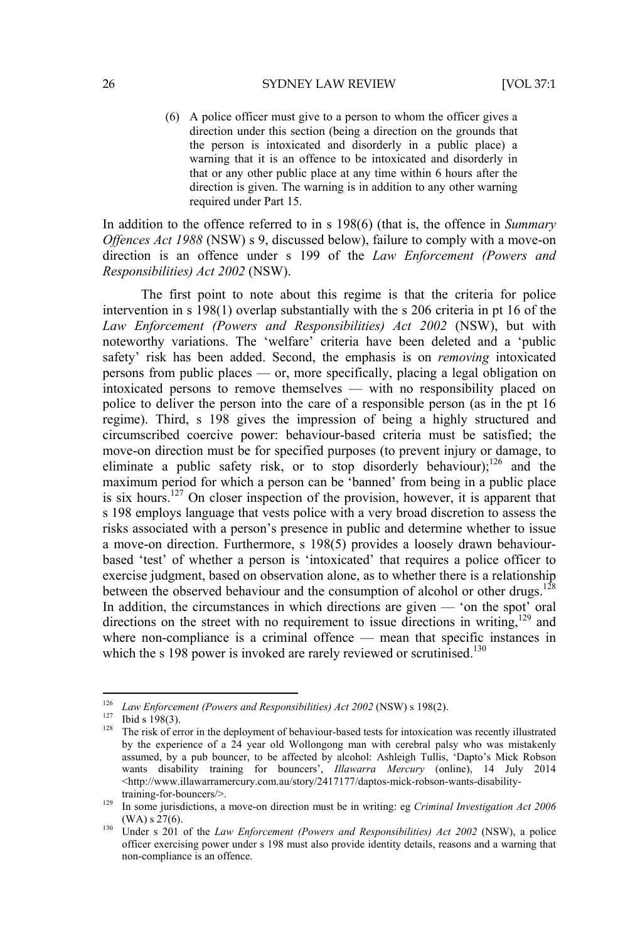(6) A police officer must give to a person to whom the officer gives a direction under this section (being a direction on the grounds that the person is intoxicated and disorderly in a public place) a warning that it is an offence to be intoxicated and disorderly in that or any other public place at any time within 6 hours after the direction is given. The warning is in addition to any other warning required under Part 15.

In addition to the offence referred to in s 198(6) (that is, the offence in *Summary Offences Act 1988* (NSW) s 9, discussed below), failure to comply with a move-on direction is an offence under s 199 of the *Law Enforcement (Powers and Responsibilities) Act 2002* (NSW).

The first point to note about this regime is that the criteria for police intervention in s 198(1) overlap substantially with the s 206 criteria in pt 16 of the *Law Enforcement (Powers and Responsibilities) Act 2002* (NSW), but with noteworthy variations. The 'welfare' criteria have been deleted and a 'public safety' risk has been added. Second, the emphasis is on *removing* intoxicated persons from public places — or, more specifically, placing a legal obligation on intoxicated persons to remove themselves — with no responsibility placed on police to deliver the person into the care of a responsible person (as in the pt 16 regime). Third, s 198 gives the impression of being a highly structured and circumscribed coercive power: behaviour-based criteria must be satisfied; the move-on direction must be for specified purposes (to prevent injury or damage, to eliminate a public safety risk, or to stop disorderly behaviour);<sup>126</sup> and the maximum period for which a person can be 'banned' from being in a public place is six hours.<sup>127</sup> On closer inspection of the provision, however, it is apparent that s 198 employs language that vests police with a very broad discretion to assess the risks associated with a person's presence in public and determine whether to issue a move-on direction. Furthermore, s 198(5) provides a loosely drawn behaviourbased 'test' of whether a person is 'intoxicated' that requires a police officer to exercise judgment, based on observation alone, as to whether there is a relationship between the observed behaviour and the consumption of alcohol or other drugs.<sup>128</sup> In addition, the circumstances in which directions are given — 'on the spot' oral directions on the street with no requirement to issue directions in writing, $129$  and where non-compliance is a criminal offence — mean that specific instances in which the s 198 power is invoked are rarely reviewed or scrutinised.<sup>130</sup>

<sup>&</sup>lt;sup>126</sup> Law Enforcement (Powers and Responsibilities) Act 2002 (NSW) s 198(2).

<sup>&</sup>lt;sup>127</sup> Ibid s 198(3). The risk of error in the deployment of behaviour-based tests for intoxication was recently illustrated by the experience of a 24 year old Wollongong man with cerebral palsy who was mistakenly assumed, by a pub bouncer, to be affected by alcohol: Ashleigh Tullis, 'Dapto's Mick Robson wants disability training for bouncers', *Illawarra Mercury* (online), 14 July 2014 <http://www.illawarramercury.com.au/story/2417177/daptos-mick-robson-wants-disability-

training-for-bouncers/>.<br>
<sup>129</sup> In some jurisdictions, a move-on direction must be in writing: eg *Criminal Investigation Act 2006* (WA) s 27(6).

<sup>&</sup>lt;sup>130</sup> Under s 201 of the *Law Enforcement (Powers and Responsibilities) Act 2002* (NSW), a police officer exercising power under s 198 must also provide identity details, reasons and a warning that non-compliance is an offence.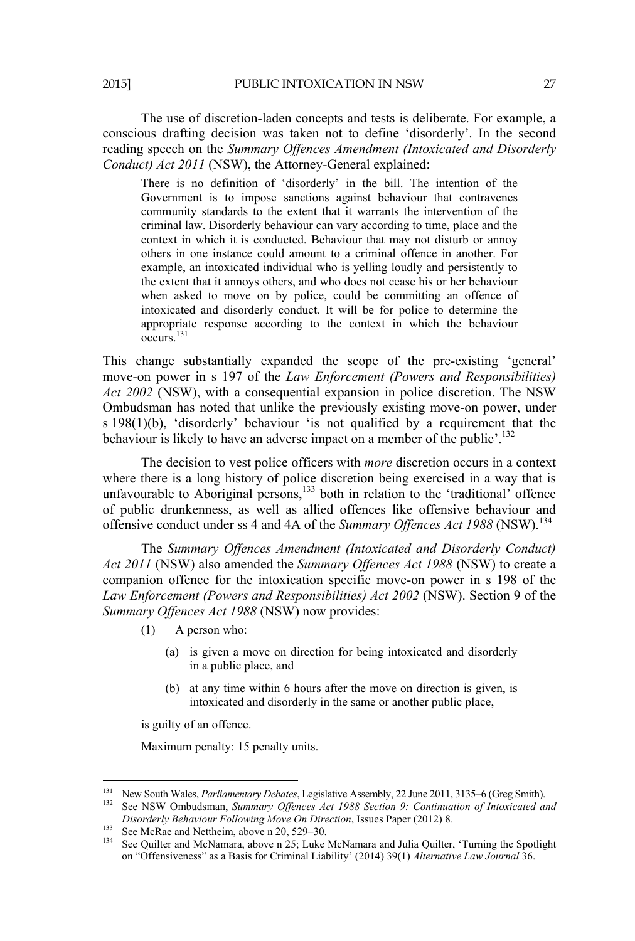The use of discretion-laden concepts and tests is deliberate. For example, a conscious drafting decision was taken not to define 'disorderly'. In the second reading speech on the *Summary Offences Amendment (Intoxicated and Disorderly Conduct) Act 2011* (NSW), the Attorney-General explained:

There is no definition of 'disorderly' in the bill. The intention of the Government is to impose sanctions against behaviour that contravenes community standards to the extent that it warrants the intervention of the criminal law. Disorderly behaviour can vary according to time, place and the context in which it is conducted. Behaviour that may not disturb or annoy others in one instance could amount to a criminal offence in another. For example, an intoxicated individual who is yelling loudly and persistently to the extent that it annoys others, and who does not cease his or her behaviour when asked to move on by police, could be committing an offence of intoxicated and disorderly conduct. It will be for police to determine the appropriate response according to the context in which the behaviour occurs.131

This change substantially expanded the scope of the pre-existing 'general' move-on power in s 197 of the *Law Enforcement (Powers and Responsibilities) Act 2002* (NSW), with a consequential expansion in police discretion. The NSW Ombudsman has noted that unlike the previously existing move-on power, under s 198(1)(b), 'disorderly' behaviour 'is not qualified by a requirement that the behaviour is likely to have an adverse impact on a member of the public'.<sup>132</sup>

The decision to vest police officers with *more* discretion occurs in a context where there is a long history of police discretion being exercised in a way that is unfavourable to Aboriginal persons, $^{133}$  both in relation to the 'traditional' offence of public drunkenness, as well as allied offences like offensive behaviour and offensive conduct under ss 4 and 4A of the *Summary Offences Act 1988* (NSW).<sup>134</sup>

The *Summary Offences Amendment (Intoxicated and Disorderly Conduct) Act 2011* (NSW) also amended the *Summary Offences Act 1988* (NSW) to create a companion offence for the intoxication specific move-on power in s 198 of the *Law Enforcement (Powers and Responsibilities) Act 2002* (NSW). Section 9 of the *Summary Offences Act 1988* (NSW) now provides:

- (1) A person who:
	- (a) is given a move on direction for being intoxicated and disorderly in a public place, and
	- (b) at any time within 6 hours after the move on direction is given, is intoxicated and disorderly in the same or another public place,

is guilty of an offence.

Maximum penalty: 15 penalty units.

<sup>&</sup>lt;sup>131</sup> New South Wales, *Parliamentary Debates*, Legislative Assembly, 22 June 2011, 3135–6 (Greg Smith).

<sup>&</sup>lt;sup>132</sup> See NSW Ombudsman, *Summary Offences Act 1988 Section 9: Continuation of Intoxicated and Disorderly Behaviour Following Move On Direction, Issues Paper (2012) 8.* 

See McRae and Nettheim, above n 20, 529–30.<br><sup>133</sup> See McRae and Nettheim, above n 25; Luke McNamara and Julia Quilter, 'Turning the Spotlight<br><sup>134</sup> See Quilter and McNamara, above n 25; Luke McNamara and Julia Quilter, 'Tu on "Offensiveness" as a Basis for Criminal Liability' (2014) 39(1) *Alternative Law Journal* 36.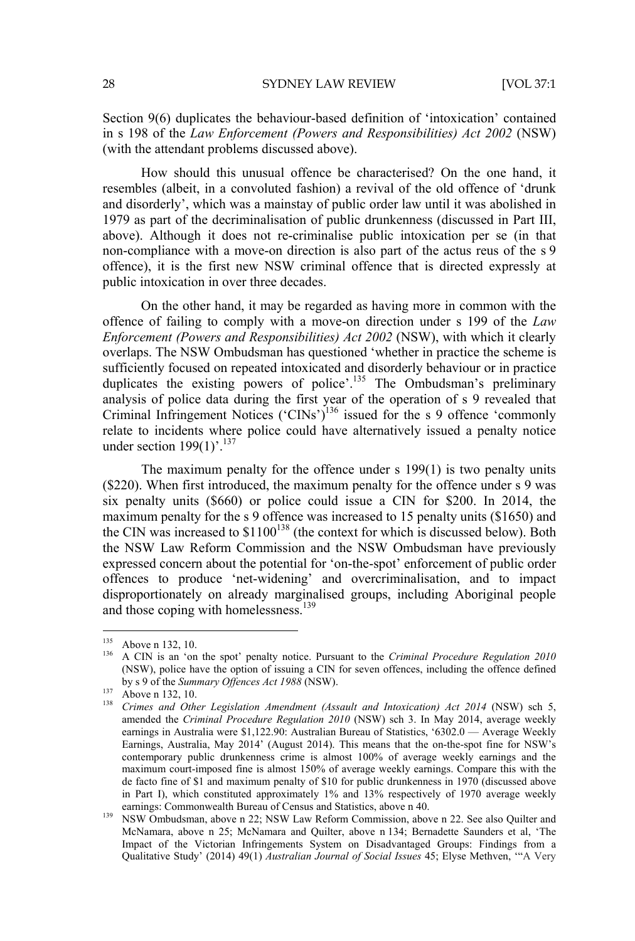Section 9(6) duplicates the behaviour-based definition of 'intoxication' contained in s 198 of the *Law Enforcement (Powers and Responsibilities) Act 2002* (NSW) (with the attendant problems discussed above).

How should this unusual offence be characterised? On the one hand, it resembles (albeit, in a convoluted fashion) a revival of the old offence of 'drunk and disorderly', which was a mainstay of public order law until it was abolished in 1979 as part of the decriminalisation of public drunkenness (discussed in Part III, above). Although it does not re-criminalise public intoxication per se (in that non-compliance with a move-on direction is also part of the actus reus of the s 9 offence), it is the first new NSW criminal offence that is directed expressly at public intoxication in over three decades.

On the other hand, it may be regarded as having more in common with the offence of failing to comply with a move-on direction under s 199 of the *Law Enforcement (Powers and Responsibilities) Act 2002* (NSW), with which it clearly overlaps. The NSW Ombudsman has questioned 'whether in practice the scheme is sufficiently focused on repeated intoxicated and disorderly behaviour or in practice duplicates the existing powers of police'.<sup>135</sup> The Ombudsman's preliminary analysis of police data during the first year of the operation of s 9 revealed that Criminal Infringement Notices ('CINs')<sup>136</sup> issued for the s 9 offence 'commonly relate to incidents where police could have alternatively issued a penalty notice under section  $199(1)$ <sup>'.137</sup>

The maximum penalty for the offence under s 199(1) is two penalty units (\$220). When first introduced, the maximum penalty for the offence under s 9 was six penalty units (\$660) or police could issue a CIN for \$200. In 2014, the maximum penalty for the s 9 offence was increased to 15 penalty units (\$1650) and the CIN was increased to  $$1100^{138}$  (the context for which is discussed below). Both the NSW Law Reform Commission and the NSW Ombudsman have previously expressed concern about the potential for 'on-the-spot' enforcement of public order offences to produce 'net-widening' and overcriminalisation, and to impact disproportionately on already marginalised groups, including Aboriginal people and those coping with homelessness.<sup>139</sup>

<sup>&</sup>lt;sup>135</sup> Above n 132, 10.<br><sup>136</sup> A CIN is an 'on the spot' penalty notice. Pursuant to the *Criminal Procedure Regulation 2010* (NSW), police have the option of issuing a CIN for seven offences, including the offence defined by s 9 of the *Summary Offences Act 1988* (NSW).

by s 9 of the *Summary Offences Act 1988* (NSW).<br>
<sup>137</sup> Above n 132, 10.<br>
<sup>138</sup> *Crimes and Other Legislation Amendment (Assault and Intoxication) Act 2014* (NSW) sch 5, amended the *Criminal Procedure Regulation 2010* (NSW) sch 3. In May 2014, average weekly earnings in Australia were \$1,122.90: Australian Bureau of Statistics, '6302.0 — Average Weekly Earnings, Australia, May 2014' (August 2014). This means that the on-the-spot fine for NSW's contemporary public drunkenness crime is almost 100% of average weekly earnings and the maximum court-imposed fine is almost 150% of average weekly earnings. Compare this with the de facto fine of \$1 and maximum penalty of \$10 for public drunkenness in 1970 (discussed above in Part I), which constituted approximately 1% and 13% respectively of 1970 average weekly earnings: Commonwealth Bureau of Census and Statistics, above n 40.

<sup>&</sup>lt;sup>139</sup> NSW Ombudsman, above n 22; NSW Law Reform Commission, above n 22. See also Quilter and McNamara, above n 25; McNamara and Quilter, above n 134; Bernadette Saunders et al, 'The Impact of the Victorian Infringements System on Disadvantaged Groups: Findings from a Qualitative Study' (2014) 49(1) *Australian Journal of Social Issues* 45; Elyse Methven, '"A Very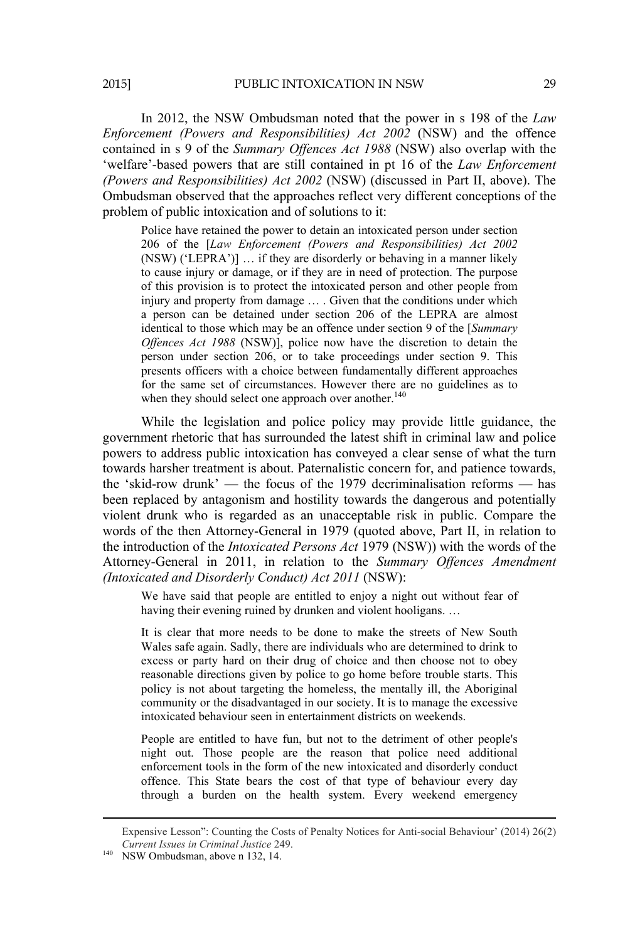In 2012, the NSW Ombudsman noted that the power in s 198 of the *Law Enforcement (Powers and Responsibilities) Act 2002* (NSW) and the offence contained in s 9 of the *Summary Offences Act 1988* (NSW) also overlap with the 'welfare'-based powers that are still contained in pt 16 of the *Law Enforcement (Powers and Responsibilities) Act 2002* (NSW) (discussed in Part II, above). The Ombudsman observed that the approaches reflect very different conceptions of the problem of public intoxication and of solutions to it:

Police have retained the power to detain an intoxicated person under section 206 of the [*Law Enforcement (Powers and Responsibilities) Act 2002* (NSW) ('LEPRA')] … if they are disorderly or behaving in a manner likely to cause injury or damage, or if they are in need of protection. The purpose of this provision is to protect the intoxicated person and other people from injury and property from damage ... . Given that the conditions under which a person can be detained under section 206 of the LEPRA are almost identical to those which may be an offence under section 9 of the [*Summary Offences Act 1988* (NSW)], police now have the discretion to detain the person under section 206, or to take proceedings under section 9. This presents officers with a choice between fundamentally different approaches for the same set of circumstances. However there are no guidelines as to when they should select one approach over another. $140$ 

While the legislation and police policy may provide little guidance, the government rhetoric that has surrounded the latest shift in criminal law and police powers to address public intoxication has conveyed a clear sense of what the turn towards harsher treatment is about. Paternalistic concern for, and patience towards, the 'skid-row drunk' — the focus of the 1979 decriminalisation reforms — has been replaced by antagonism and hostility towards the dangerous and potentially violent drunk who is regarded as an unacceptable risk in public. Compare the words of the then Attorney-General in 1979 (quoted above, Part II, in relation to the introduction of the *Intoxicated Persons Act* 1979 (NSW)) with the words of the Attorney-General in 2011, in relation to the *Summary Offences Amendment (Intoxicated and Disorderly Conduct) Act 2011* (NSW):

We have said that people are entitled to enjoy a night out without fear of having their evening ruined by drunken and violent hooligans. ...

It is clear that more needs to be done to make the streets of New South Wales safe again. Sadly, there are individuals who are determined to drink to excess or party hard on their drug of choice and then choose not to obey reasonable directions given by police to go home before trouble starts. This policy is not about targeting the homeless, the mentally ill, the Aboriginal community or the disadvantaged in our society. It is to manage the excessive intoxicated behaviour seen in entertainment districts on weekends.

People are entitled to have fun, but not to the detriment of other people's night out. Those people are the reason that police need additional enforcement tools in the form of the new intoxicated and disorderly conduct offence. This State bears the cost of that type of behaviour every day through a burden on the health system. Every weekend emergency

<sup>&</sup>lt;u> Alexandro Alexandro Alexandro Alexandro Alexandro Alexandro Alexandro Alexandro Alexandro Alexandro Alexandro </u> Expensive Lesson": Counting the Costs of Penalty Notices for Anti-social Behaviour' (2014) 26(2) *Current Issues in Criminal Justice* 249. 140 NSW Ombudsman, above n 132, 14.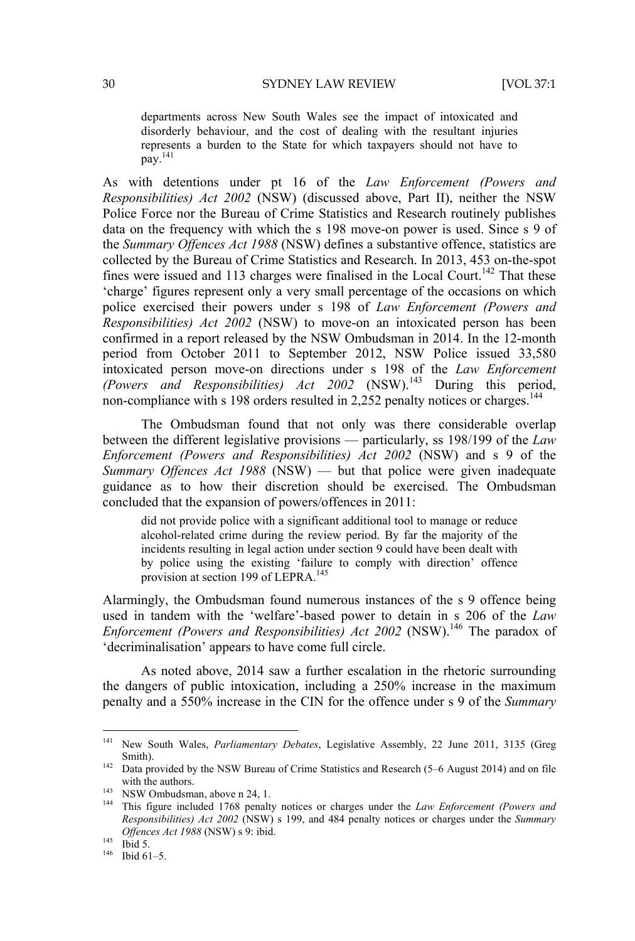departments across New South Wales see the impact of intoxicated and disorderly behaviour, and the cost of dealing with the resultant injuries represents a burden to the State for which taxpayers should not have to  $\overline{pay.}^{141}$ 

As with detentions under pt 16 of the *Law Enforcement (Powers and Responsibilities) Act 2002* (NSW) (discussed above, Part II), neither the NSW Police Force nor the Bureau of Crime Statistics and Research routinely publishes data on the frequency with which the s 198 move-on power is used. Since s 9 of the *Summary Offences Act 1988* (NSW) defines a substantive offence, statistics are collected by the Bureau of Crime Statistics and Research. In 2013, 453 on-the-spot fines were issued and 113 charges were finalised in the Local Court.<sup>142</sup> That these 'charge' figures represent only a very small percentage of the occasions on which police exercised their powers under s 198 of *Law Enforcement (Powers and Responsibilities) Act 2002* (NSW) to move-on an intoxicated person has been confirmed in a report released by the NSW Ombudsman in 2014. In the 12-month period from October 2011 to September 2012, NSW Police issued 33,580 intoxicated person move-on directions under s 198 of the *Law Enforcement (Powers and Responsibilities) Act 2002* (NSW).143 During this period, non-compliance with s 198 orders resulted in 2,252 penalty notices or charges.<sup>144</sup>

The Ombudsman found that not only was there considerable overlap between the different legislative provisions — particularly, ss 198/199 of the *Law Enforcement (Powers and Responsibilities) Act 2002* (NSW) and s 9 of the *Summary Offences Act 1988* (NSW) — but that police were given inadequate guidance as to how their discretion should be exercised. The Ombudsman concluded that the expansion of powers/offences in 2011:

did not provide police with a significant additional tool to manage or reduce alcohol-related crime during the review period. By far the majority of the incidents resulting in legal action under section 9 could have been dealt with by police using the existing 'failure to comply with direction' offence provision at section 199 of LEPRA.<sup>145</sup>

Alarmingly, the Ombudsman found numerous instances of the s 9 offence being used in tandem with the 'welfare'-based power to detain in s 206 of the *Law Enforcement (Powers and Responsibilities) Act 2002* (NSW).<sup>146</sup> The paradox of 'decriminalisation' appears to have come full circle.

As noted above, 2014 saw a further escalation in the rhetoric surrounding the dangers of public intoxication, including a 250% increase in the maximum penalty and a 550% increase in the CIN for the offence under s 9 of the *Summary* 

<sup>141</sup> New South Wales, *Parliamentary Debates*, Legislative Assembly, 22 June 2011, 3135 (Greg Smith).<br><sup>142</sup> Data provided by the NSW Bureau of Crime Statistics and Research (5–6 August 2014) and on file

with the authors.<br><sup>143</sup> NSW Ombudsman, above n 24, 1.<br><sup>144</sup> This figure included 1768 penalty notices or charges under the *Law Enforcement (Powers and* 

*Responsibilities) Act 2002* (NSW) s 199, and 484 penalty notices or charges under the *Summary Offences Act 1988* (NSW) s 9: ibid.<br><sup>145</sup> Ibid 5.<br><sup>146</sup> Ibid 61–5.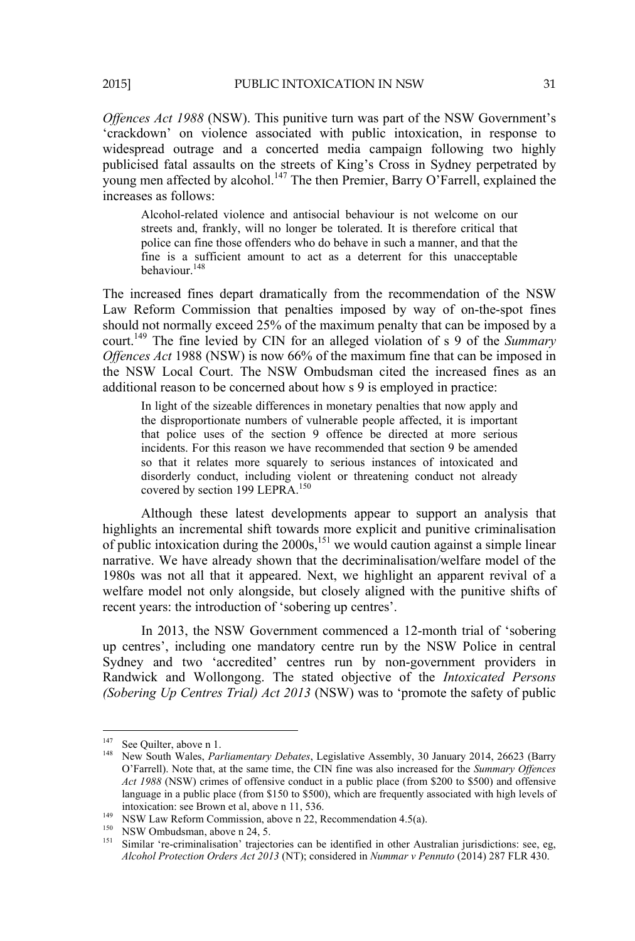*Offences Act 1988* (NSW). This punitive turn was part of the NSW Government's 'crackdown' on violence associated with public intoxication, in response to widespread outrage and a concerted media campaign following two highly publicised fatal assaults on the streets of King's Cross in Sydney perpetrated by young men affected by alcohol.<sup>147</sup> The then Premier, Barry O'Farrell, explained the increases as follows:

Alcohol-related violence and antisocial behaviour is not welcome on our streets and, frankly, will no longer be tolerated. It is therefore critical that police can fine those offenders who do behave in such a manner, and that the fine is a sufficient amount to act as a deterrent for this unacceptable behaviour<sup>148</sup>

The increased fines depart dramatically from the recommendation of the NSW Law Reform Commission that penalties imposed by way of on-the-spot fines should not normally exceed 25% of the maximum penalty that can be imposed by a court.149 The fine levied by CIN for an alleged violation of s 9 of the *Summary Offences Act* 1988 (NSW) is now 66% of the maximum fine that can be imposed in the NSW Local Court. The NSW Ombudsman cited the increased fines as an additional reason to be concerned about how s 9 is employed in practice:

In light of the sizeable differences in monetary penalties that now apply and the disproportionate numbers of vulnerable people affected, it is important that police uses of the section 9 offence be directed at more serious incidents. For this reason we have recommended that section 9 be amended so that it relates more squarely to serious instances of intoxicated and disorderly conduct, including violent or threatening conduct not already covered by section 199 LEPRA.<sup>150</sup>

Although these latest developments appear to support an analysis that highlights an incremental shift towards more explicit and punitive criminalisation of public intoxication during the  $2000s$ ,<sup>151</sup> we would caution against a simple linear narrative. We have already shown that the decriminalisation/welfare model of the 1980s was not all that it appeared. Next, we highlight an apparent revival of a welfare model not only alongside, but closely aligned with the punitive shifts of recent years: the introduction of 'sobering up centres'.

In 2013, the NSW Government commenced a 12-month trial of 'sobering up centres', including one mandatory centre run by the NSW Police in central Sydney and two 'accredited' centres run by non-government providers in Randwick and Wollongong. The stated objective of the *Intoxicated Persons (Sobering Up Centres Trial) Act 2013* (NSW) was to 'promote the safety of public

<sup>&</sup>lt;sup>147</sup> See Quilter, above n 1.

<sup>&</sup>lt;sup>148</sup> New South Wales, *Parliamentary Debates*, Legislative Assembly, 30 January 2014, 26623 (Barry O'Farrell). Note that, at the same time, the CIN fine was also increased for the *Summary Offences Act 1988* (NSW) crimes of offensive conduct in a public place (from \$200 to \$500) and offensive language in a public place (from \$150 to \$500), which are frequently associated with high levels of intoxication: see Brown et al. above n 11, 536.

<sup>&</sup>lt;sup>149</sup> NSW Law Reform Commission, above n 22, Recommendation 4.5(a).<br><sup>150</sup> NSW Ombudsman, above n 24, 5.<br><sup>151</sup> Similar 're-criminalisation' trajectories can be identified in other Australian jurisdictions: see, eg, *Alcohol Protection Orders Act 2013* (NT); considered in *Nummar v Pennuto* (2014) 287 FLR 430.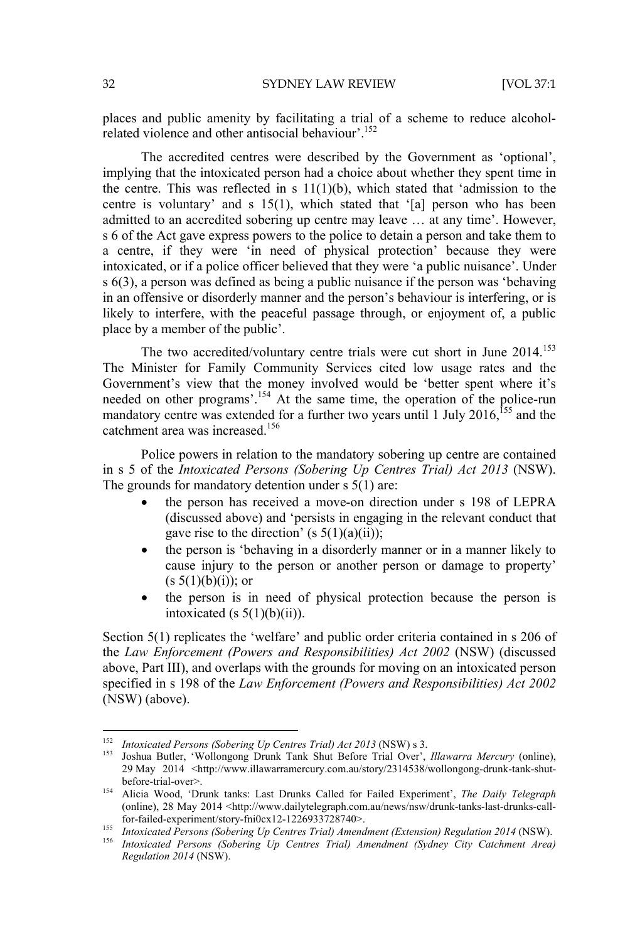places and public amenity by facilitating a trial of a scheme to reduce alcoholrelated violence and other antisocial behaviour'.152

The accredited centres were described by the Government as 'optional', implying that the intoxicated person had a choice about whether they spent time in the centre. This was reflected in s  $11(1)(b)$ , which stated that 'admission to the centre is voluntary' and s 15(1), which stated that '[a] person who has been admitted to an accredited sobering up centre may leave … at any time'. However, s 6 of the Act gave express powers to the police to detain a person and take them to a centre, if they were 'in need of physical protection' because they were intoxicated, or if a police officer believed that they were 'a public nuisance'. Under s 6(3), a person was defined as being a public nuisance if the person was 'behaving in an offensive or disorderly manner and the person's behaviour is interfering, or is likely to interfere, with the peaceful passage through, or enjoyment of, a public place by a member of the public'.

The two accredited/voluntary centre trials were cut short in June  $2014$ <sup>153</sup> The Minister for Family Community Services cited low usage rates and the Government's view that the money involved would be 'better spent where it's needed on other programs'.<sup>154</sup> At the same time, the operation of the police-run mandatory centre was extended for a further two years until 1 July 2016,<sup>155</sup> and the catchment area was increased.156

Police powers in relation to the mandatory sobering up centre are contained in s 5 of the *Intoxicated Persons (Sobering Up Centres Trial) Act 2013* (NSW). The grounds for mandatory detention under s 5(1) are:

- the person has received a move-on direction under s 198 of LEPRA (discussed above) and 'persists in engaging in the relevant conduct that gave rise to the direction' (s  $5(1)(a)(ii)$ );
- the person is 'behaving in a disorderly manner or in a manner likely to cause injury to the person or another person or damage to property'  $(s 5(1)(b)(i))$ ; or
- the person is in need of physical protection because the person is intoxicated (s  $5(1)(b)(ii)$ ).

Section 5(1) replicates the 'welfare' and public order criteria contained in s 206 of the *Law Enforcement (Powers and Responsibilities) Act 2002* (NSW) (discussed above, Part III), and overlaps with the grounds for moving on an intoxicated person specified in s 198 of the *Law Enforcement (Powers and Responsibilities) Act 2002* (NSW) (above).

<sup>&</sup>lt;sup>152</sup> Intoxicated Persons (Sobering Up Centres Trial) Act 2013 (NSW) s 3.

<sup>&</sup>lt;sup>153</sup> Joshua Butler, 'Wollongong Drunk Tank Shut Before Trial Over', *Illawarra Mercury* (online), 29 May 2014 <http://www.illawarramercury.com.au/story/2314538/wollongong-drunk-tank-shut-

before-trial-over>. 154 Alicia Wood, 'Drunk tanks: Last Drunks Called for Failed Experiment', *The Daily Telegraph* (online), 28 May 2014 <http://www.dailytelegraph.com.au/news/nsw/drunk-tanks-last-drunks-call-<br>for-failed-experiment/story-fni0cx12-1226933728740>.

<sup>101-</sup>taneu-experimentsion y-modelli 1220000120110110110110201201101115<br>155 Intoxicated Persons (Sobering Up Centres Trial) Amendment (Extension) Regulation 2014 (NSW).<br><sup>156</sup> Intoxicated Persons (Sobering Up Centres Trial) A *Regulation 2014* (NSW).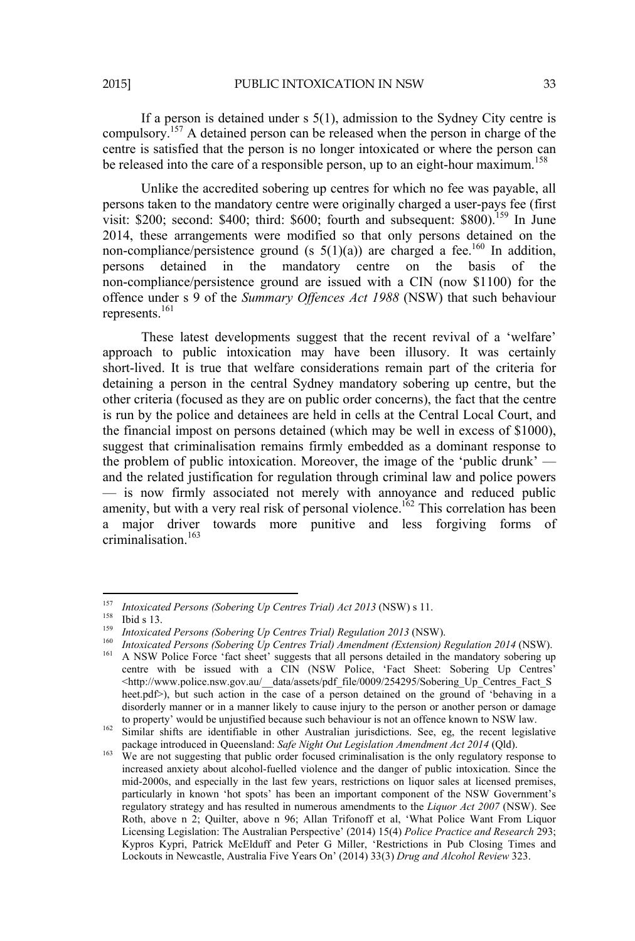If a person is detained under s 5(1), admission to the Sydney City centre is compulsory.157 A detained person can be released when the person in charge of the centre is satisfied that the person is no longer intoxicated or where the person can be released into the care of a responsible person, up to an eight-hour maximum.<sup>158</sup>

Unlike the accredited sobering up centres for which no fee was payable, all persons taken to the mandatory centre were originally charged a user-pays fee (first visit:  $$200$ : second:  $$400$ : third:  $$600$ : fourth and subsequent:  $$800$ ).<sup>159</sup> In June 2014, these arrangements were modified so that only persons detained on the non-compliance/persistence ground (s  $5(1)(a)$ ) are charged a fee.<sup>160</sup> In addition, persons detained in the mandatory centre on the basis of non-compliance/persistence ground are issued with a CIN (now \$1100) for the offence under s 9 of the *Summary Offences Act 1988* (NSW) that such behaviour represents.161

These latest developments suggest that the recent revival of a 'welfare' approach to public intoxication may have been illusory. It was certainly short-lived. It is true that welfare considerations remain part of the criteria for detaining a person in the central Sydney mandatory sobering up centre, but the other criteria (focused as they are on public order concerns), the fact that the centre is run by the police and detainees are held in cells at the Central Local Court, and the financial impost on persons detained (which may be well in excess of \$1000), suggest that criminalisation remains firmly embedded as a dominant response to the problem of public intoxication. Moreover, the image of the 'public drunk' and the related justification for regulation through criminal law and police powers — is now firmly associated not merely with annoyance and reduced public amenity, but with a very real risk of personal violence.<sup>162</sup> This correlation has been a major driver towards more punitive and less forgiving forms of criminalisation.<sup>163</sup>

 $^{157}$  Intoxicated Persons (Sobering Up Centres Trial) Act 2013 (NSW) s 11.

<sup>&</sup>lt;sup>158</sup> Ibid s 13.<br> *Intoxicated Persons (Sobering Up Centres Trial) Regulation 2013 (NSW).*<br> *Intoxicated Persons (Sobering Up Centres Trial) Amendment (Extension) Regulation 2014 (NSW).*<br>
<sup>161</sup> A NSW Police Force 'fact sh

centre with be issued with a CIN (NSW Police, 'Fact Sheet: Sobering Up Centres' <http://www.police.nsw.gov.au/\_\_data/assets/pdf\_file/0009/254295/Sobering\_Up\_Centres\_Fact\_S heet.pdf>), but such action in the case of a person detained on the ground of 'behaving in a disorderly manner or in a manner likely to cause injury to the person or another person or damage<br>to property' would be unjustified because such behaviour is not an offence known to NSW law.

to property' would be unjustified because such an order to Australian jurisdictions. See, eg, the recent legislative package introduced in Queensland: *Safe Night Out Legislation Amendment Act* 2014 (Qld).

<sup>&</sup>lt;sup>163</sup> We are not suggesting that public order focused criminalisation is the only regulatory response to increased anxiety about alcohol-fuelled violence and the danger of public intoxication. Since the mid-2000s, and especially in the last few years, restrictions on liquor sales at licensed premises, particularly in known 'hot spots' has been an important component of the NSW Government's regulatory strategy and has resulted in numerous amendments to the *Liquor Act 2007* (NSW). See Roth, above n 2; Quilter, above n 96; Allan Trifonoff et al, 'What Police Want From Liquor Licensing Legislation: The Australian Perspective' (2014) 15(4) *Police Practice and Research* 293; Kypros Kypri, Patrick McElduff and Peter G Miller, 'Restrictions in Pub Closing Times and Lockouts in Newcastle, Australia Five Years On' (2014) 33(3) *Drug and Alcohol Review* 323.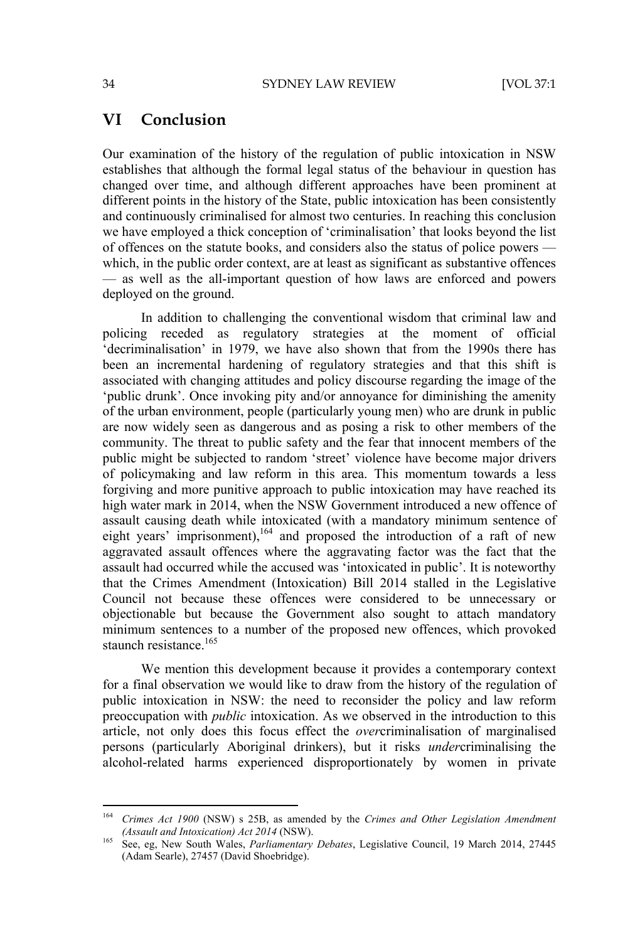#### **VI Conclusion**

Our examination of the history of the regulation of public intoxication in NSW establishes that although the formal legal status of the behaviour in question has changed over time, and although different approaches have been prominent at different points in the history of the State, public intoxication has been consistently and continuously criminalised for almost two centuries. In reaching this conclusion we have employed a thick conception of 'criminalisation' that looks beyond the list of offences on the statute books, and considers also the status of police powers which, in the public order context, are at least as significant as substantive offences — as well as the all-important question of how laws are enforced and powers deployed on the ground.

In addition to challenging the conventional wisdom that criminal law and policing receded as regulatory strategies at the moment of official 'decriminalisation' in 1979, we have also shown that from the 1990s there has been an incremental hardening of regulatory strategies and that this shift is associated with changing attitudes and policy discourse regarding the image of the 'public drunk'. Once invoking pity and/or annoyance for diminishing the amenity of the urban environment, people (particularly young men) who are drunk in public are now widely seen as dangerous and as posing a risk to other members of the community. The threat to public safety and the fear that innocent members of the public might be subjected to random 'street' violence have become major drivers of policymaking and law reform in this area. This momentum towards a less forgiving and more punitive approach to public intoxication may have reached its high water mark in 2014, when the NSW Government introduced a new offence of assault causing death while intoxicated (with a mandatory minimum sentence of eight years' imprisonment), $164$  and proposed the introduction of a raft of new aggravated assault offences where the aggravating factor was the fact that the assault had occurred while the accused was 'intoxicated in public'. It is noteworthy that the Crimes Amendment (Intoxication) Bill 2014 stalled in the Legislative Council not because these offences were considered to be unnecessary or objectionable but because the Government also sought to attach mandatory minimum sentences to a number of the proposed new offences, which provoked staunch resistance.<sup>165</sup>

We mention this development because it provides a contemporary context for a final observation we would like to draw from the history of the regulation of public intoxication in NSW: the need to reconsider the policy and law reform preoccupation with *public* intoxication. As we observed in the introduction to this article, not only does this focus effect the *over*criminalisation of marginalised persons (particularly Aboriginal drinkers), but it risks *under*criminalising the alcohol-related harms experienced disproportionately by women in private

<sup>164</sup> *Crimes Act 1900* (NSW) s 25B, as amended by the *Crimes and Other Legislation Amendment (Assault and Intoxication) Act 2014* (NSW).<br><sup>165</sup> See, eg, New South Wales, *Parliamentary Debates*, Legislative Council, 19 March 2014, 27445

<sup>(</sup>Adam Searle), 27457 (David Shoebridge).